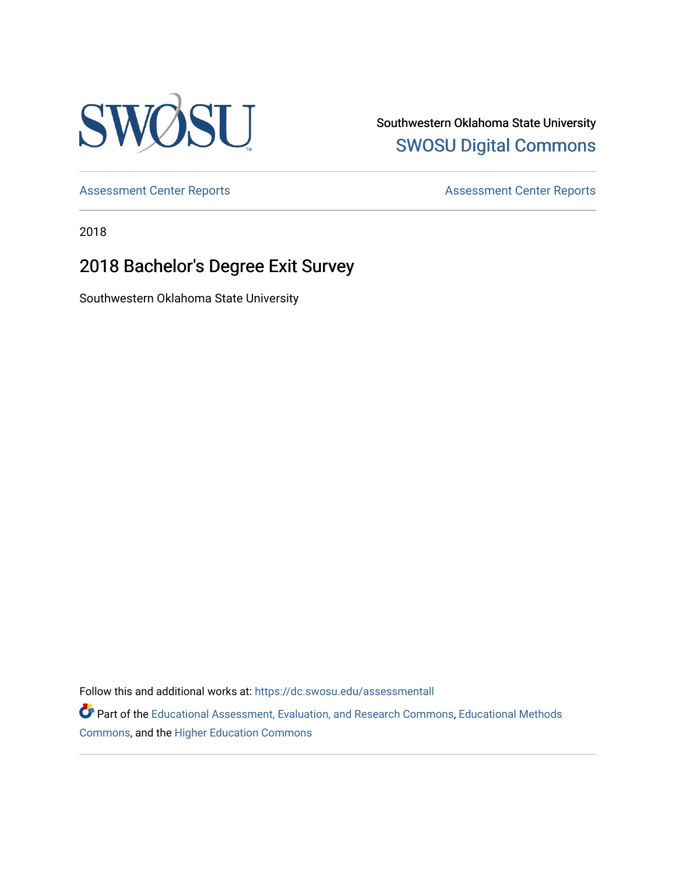

Southwestern Oklahoma State University [SWOSU Digital Commons](https://dc.swosu.edu/) 

[Assessment Center Reports](https://dc.swosu.edu/assessmenthm) **Assessment Center Reports** 

2018

# 2018 Bachelor's Degree Exit Survey

Southwestern Oklahoma State University

Follow this and additional works at: [https://dc.swosu.edu/assessmentall](https://dc.swosu.edu/assessmentall?utm_source=dc.swosu.edu%2Fassessmentall%2F103&utm_medium=PDF&utm_campaign=PDFCoverPages) 

Part of the [Educational Assessment, Evaluation, and Research Commons](http://network.bepress.com/hgg/discipline/796?utm_source=dc.swosu.edu%2Fassessmentall%2F103&utm_medium=PDF&utm_campaign=PDFCoverPages), [Educational Methods](http://network.bepress.com/hgg/discipline/1227?utm_source=dc.swosu.edu%2Fassessmentall%2F103&utm_medium=PDF&utm_campaign=PDFCoverPages)  [Commons](http://network.bepress.com/hgg/discipline/1227?utm_source=dc.swosu.edu%2Fassessmentall%2F103&utm_medium=PDF&utm_campaign=PDFCoverPages), and the [Higher Education Commons](http://network.bepress.com/hgg/discipline/1245?utm_source=dc.swosu.edu%2Fassessmentall%2F103&utm_medium=PDF&utm_campaign=PDFCoverPages)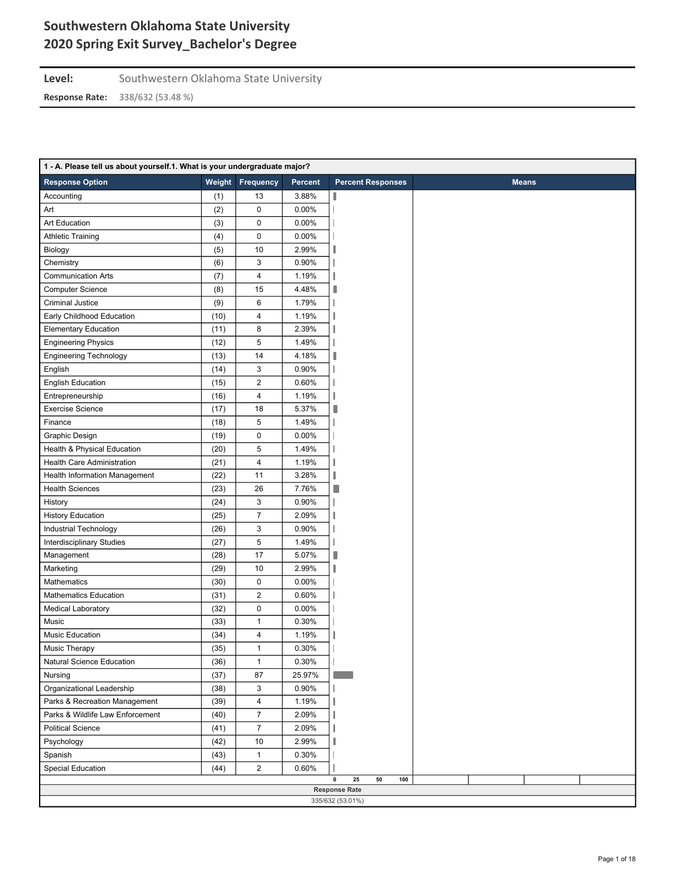Level: Southwestern Oklahoma State University

| 1 - A. Please tell us about yourself.1. What is your undergraduate major? |      |                         |                |                                          |              |
|---------------------------------------------------------------------------|------|-------------------------|----------------|------------------------------------------|--------------|
| <b>Response Option</b>                                                    |      | <b>Weight Frequency</b> | <b>Percent</b> | <b>Percent Responses</b>                 | <b>Means</b> |
| Accounting                                                                | (1)  | 13                      | 3.88%          |                                          |              |
| Art                                                                       | (2)  | $\pmb{0}$               | 0.00%          |                                          |              |
| <b>Art Education</b>                                                      | (3)  | $\pmb{0}$               | 0.00%          |                                          |              |
| <b>Athletic Training</b>                                                  | (4)  | $\pmb{0}$               | 0.00%          |                                          |              |
| Biology                                                                   | (5)  | 10                      | 2.99%          |                                          |              |
| Chemistry                                                                 | (6)  | 3                       | 0.90%          |                                          |              |
| <b>Communication Arts</b>                                                 | (7)  | 4                       | 1.19%          |                                          |              |
| <b>Computer Science</b>                                                   | (8)  | 15                      | 4.48%          |                                          |              |
| Criminal Justice                                                          | (9)  | 6                       | 1.79%          |                                          |              |
| Early Childhood Education                                                 | (10) | 4                       | 1.19%          |                                          |              |
| <b>Elementary Education</b>                                               | (11) | 8                       | 2.39%          |                                          |              |
| <b>Engineering Physics</b>                                                | (12) | 5                       | 1.49%          |                                          |              |
| <b>Engineering Technology</b>                                             | (13) | 14                      | 4.18%          |                                          |              |
| English                                                                   | (14) | 3                       | 0.90%          |                                          |              |
| <b>English Education</b>                                                  | (15) | $\overline{\mathbf{c}}$ | 0.60%          |                                          |              |
| Entrepreneurship                                                          | (16) | 4                       | 1.19%          |                                          |              |
| <b>Exercise Science</b>                                                   | (17) | 18                      | 5.37%          | н                                        |              |
| Finance                                                                   | (18) | 5                       | 1.49%          |                                          |              |
| Graphic Design                                                            | (19) | 0                       | 0.00%          |                                          |              |
| Health & Physical Education                                               | (20) | 5                       | 1.49%          |                                          |              |
| <b>Health Care Administration</b>                                         | (21) | 4                       | 1.19%          |                                          |              |
| Health Information Management                                             | (22) | 11                      | 3.28%          |                                          |              |
| <b>Health Sciences</b>                                                    | (23) | 26                      | 7.76%          | П                                        |              |
| History                                                                   | (24) | 3                       | 0.90%          |                                          |              |
| <b>History Education</b>                                                  | (25) | $\overline{7}$          | 2.09%          |                                          |              |
| Industrial Technology                                                     | (26) | 3                       | 0.90%          |                                          |              |
| Interdisciplinary Studies                                                 | (27) | 5                       | 1.49%          |                                          |              |
| Management                                                                | (28) | 17                      | 5.07%          | ٠                                        |              |
| Marketing                                                                 | (29) | 10                      | 2.99%          |                                          |              |
| Mathematics                                                               | (30) | 0                       | 0.00%          |                                          |              |
| <b>Mathematics Education</b>                                              | (31) | $\overline{\mathbf{c}}$ | 0.60%          |                                          |              |
| <b>Medical Laboratory</b>                                                 | (32) | 0                       | 0.00%          |                                          |              |
| Music                                                                     | (33) | $\mathbf{1}$            | 0.30%          |                                          |              |
| Music Education                                                           | (34) | 4                       | 1.19%          |                                          |              |
| Music Therapy                                                             | (35) | 1                       | 0.30%          |                                          |              |
| Natural Science Education                                                 | (36) | $\mathbf{1}$            | 0.30%          |                                          |              |
| Nursing                                                                   | (37) | 87                      | 25.97%         |                                          |              |
| Organizational Leadership                                                 | (38) | 3                       | 0.90%          |                                          |              |
| Parks & Recreation Management                                             | (39) | 4                       | 1.19%          |                                          |              |
| Parks & Wildlife Law Enforcement                                          | (40) | $\overline{7}$          | 2.09%          |                                          |              |
| <b>Political Science</b>                                                  | (41) | $\overline{7}$          | 2.09%          |                                          |              |
| Psychology                                                                | (42) | 10                      | 2.99%          |                                          |              |
| Spanish                                                                   | (43) | $\mathbf{1}$            | 0.30%          |                                          |              |
| Special Education                                                         | (44) | $\overline{c}$          | 0.60%          |                                          |              |
|                                                                           |      |                         |                | 25<br>50<br>100<br>0                     |              |
|                                                                           |      |                         |                | <b>Response Rate</b><br>335/632 (53.01%) |              |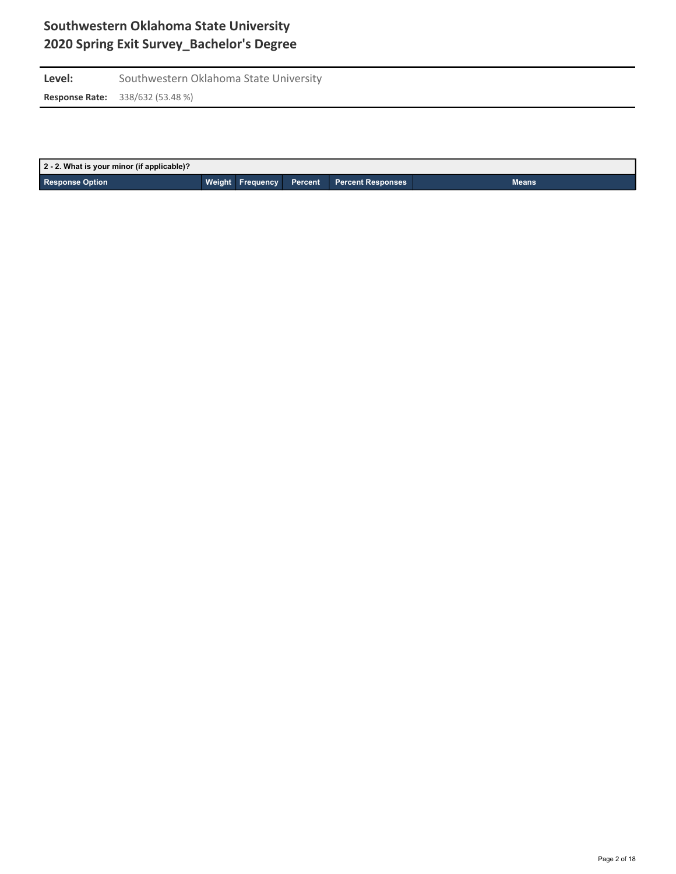Level: Southwestern Oklahoma State University **Response Rate:** 338/632 (53.48 %)

| 2 - 2. What is your minor (if applicable)? |  |                                            |              |
|--------------------------------------------|--|--------------------------------------------|--------------|
| <b>Response Option</b>                     |  | Weight Frequency Percent Percent Responses | <b>Means</b> |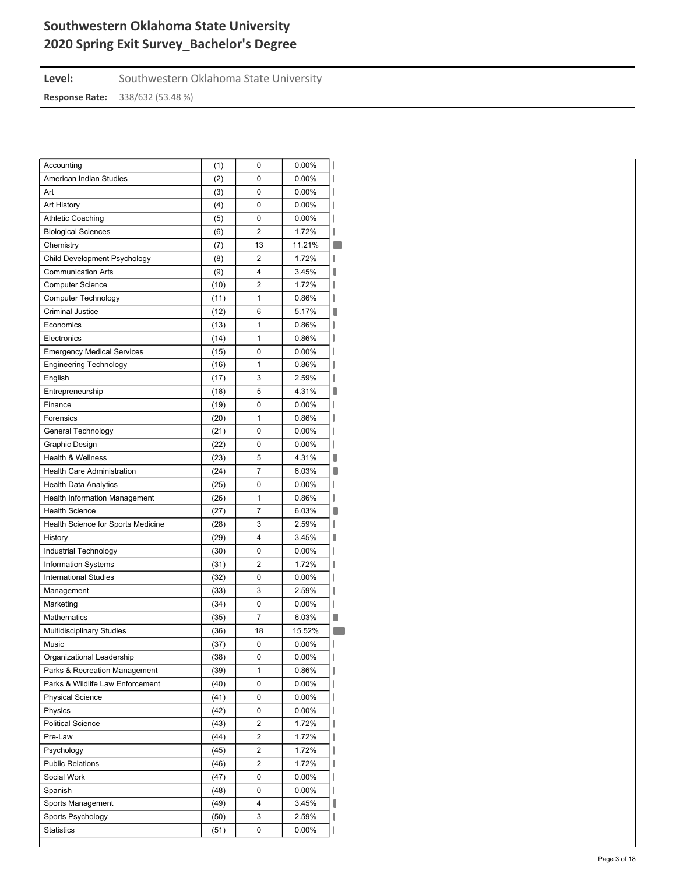| Level:                | Southwestern Oklahoma State University |
|-----------------------|----------------------------------------|
| <b>Response Rate:</b> | 338/632 (53.48 %)                      |

| Accounting                           | (1)  | 0                       | 0.00%    |  |
|--------------------------------------|------|-------------------------|----------|--|
| American Indian Studies              | (2)  | 0                       | 0.00%    |  |
| Art                                  | (3)  | 0                       | 0.00%    |  |
| Art History                          | (4)  | 0                       | $0.00\%$ |  |
| <b>Athletic Coaching</b>             | (5)  | 0                       | $0.00\%$ |  |
| <b>Biological Sciences</b>           | (6)  | $\overline{2}$          | 1.72%    |  |
| Chemistry                            | (7)  | 13                      | 11.21%   |  |
| Child Development Psychology         | (8)  | 2                       | 1.72%    |  |
| <b>Communication Arts</b>            | (9)  | 4                       | 3.45%    |  |
| <b>Computer Science</b>              | (10) | $\overline{2}$          | 1.72%    |  |
| <b>Computer Technology</b>           | (11) | 1                       | 0.86%    |  |
| <b>Criminal Justice</b>              | (12) | 6                       | 5.17%    |  |
| Economics                            | (13) | 1                       | 0.86%    |  |
| Electronics                          | (14) | 1                       | 0.86%    |  |
| <b>Emergency Medical Services</b>    | (15) | 0                       | $0.00\%$ |  |
| <b>Engineering Technology</b>        | (16) | 1                       | 0.86%    |  |
| English                              | (17) | 3                       | 2.59%    |  |
| Entrepreneurship                     | (18) | 5                       | 4.31%    |  |
| Finance                              |      |                         | $0.00\%$ |  |
|                                      | (19) | 0                       |          |  |
| Forensics                            | (20) | 1                       | 0.86%    |  |
| General Technology                   | (21) | 0                       | $0.00\%$ |  |
| Graphic Design                       | (22) | 0                       | $0.00\%$ |  |
| <b>Health &amp; Wellness</b>         | (23) | 5                       | 4.31%    |  |
| <b>Health Care Administration</b>    | (24) | 7                       | 6.03%    |  |
| <b>Health Data Analytics</b>         | (25) | 0                       | $0.00\%$ |  |
| <b>Health Information Management</b> | (26) | 1                       | 0.86%    |  |
| <b>Health Science</b>                | (27) | 7                       | 6.03%    |  |
| Health Science for Sports Medicine   | (28) | 3                       | 2.59%    |  |
| History                              | (29) | 4                       | 3.45%    |  |
| Industrial Technology                | (30) | 0                       | 0.00%    |  |
| Information Systems                  | (31) | 2                       | 1.72%    |  |
| <b>International Studies</b>         | (32) | 0                       | 0.00%    |  |
| Management                           | (33) | 3                       | 2.59%    |  |
| Marketing                            | (34) | 0                       | 0.00%    |  |
| Mathematics                          | (35) | 7                       | 6.03%    |  |
| <b>Multidisciplinary Studies</b>     | (36) | 18                      | 15.52%   |  |
| Music                                | (37) | 0                       | 0.00%    |  |
| Organizational Leadership            | (38) | 0                       | $0.00\%$ |  |
| Parks & Recreation Management        | (39) | 1                       | 0.86%    |  |
| Parks & Wildlife Law Enforcement     | (40) | 0                       | 0.00%    |  |
| <b>Physical Science</b>              | (41) | 0                       | 0.00%    |  |
| Physics                              | (42) | 0                       | $0.00\%$ |  |
| <b>Political Science</b>             | (43) | 2                       | 1.72%    |  |
| Pre-Law                              | (44) | 2                       | 1.72%    |  |
| Psychology                           | (45) | 2                       | 1.72%    |  |
| <b>Public Relations</b>              | (46) | $\overline{\mathbf{c}}$ | 1.72%    |  |
| Social Work                          | (47) | 0                       | $0.00\%$ |  |
| Spanish                              | (48) | 0                       | 0.00%    |  |
|                                      |      | 4                       |          |  |
| Sports Management                    | (49) |                         | 3.45%    |  |
| Sports Psychology                    | (50) | 3                       | 2.59%    |  |
| <b>Statistics</b>                    | (51) | 0                       | $0.00\%$ |  |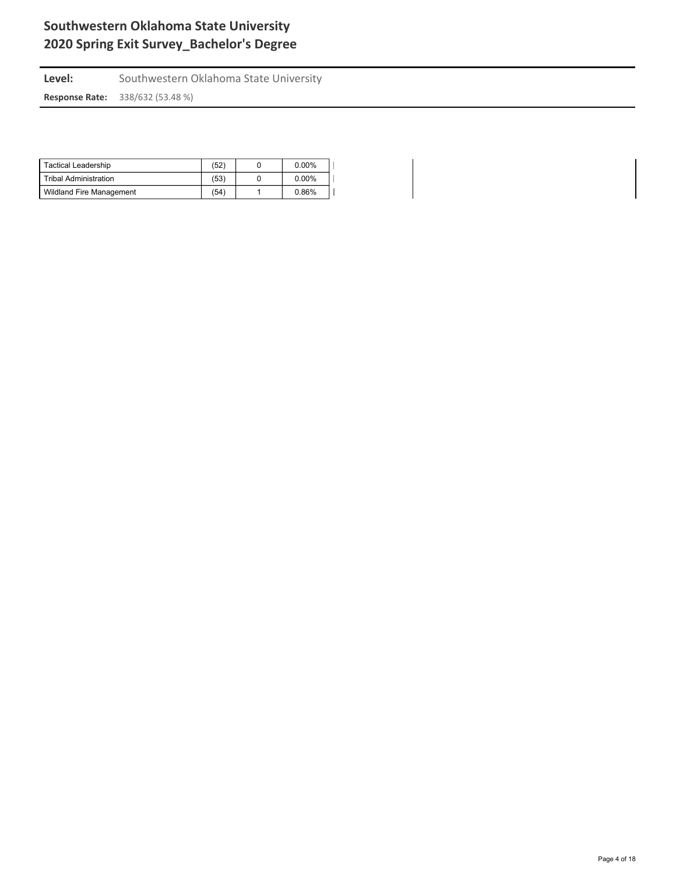Level: Southwestern Oklahoma State University **Response Rate:** 338/632 (53.48 %)

| Tactical Leadership             | (52) | $0.00\%$ |  |
|---------------------------------|------|----------|--|
| Tribal Administration           | (53) | $0.00\%$ |  |
| <b>Wildland Fire Management</b> | (54) | 0.86%    |  |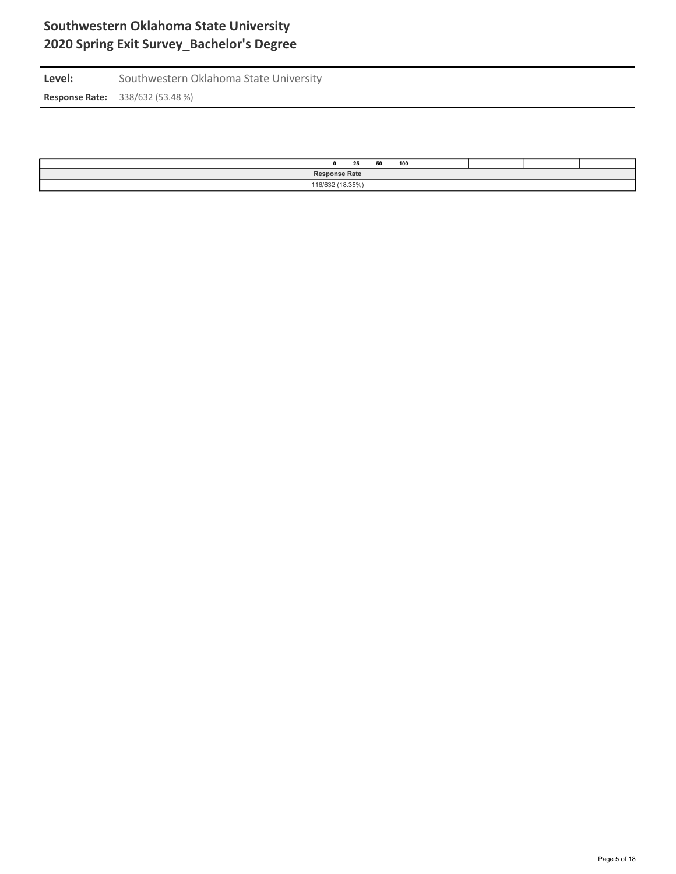Level: Southwestern Oklahoma State University **Response Rate:** 338/632 (53.48 %)

| 100<br>50<br>25      |  |  |  |  |  |  |  |  |  |
|----------------------|--|--|--|--|--|--|--|--|--|
| <b>Response Rate</b> |  |  |  |  |  |  |  |  |  |
| 110000110000         |  |  |  |  |  |  |  |  |  |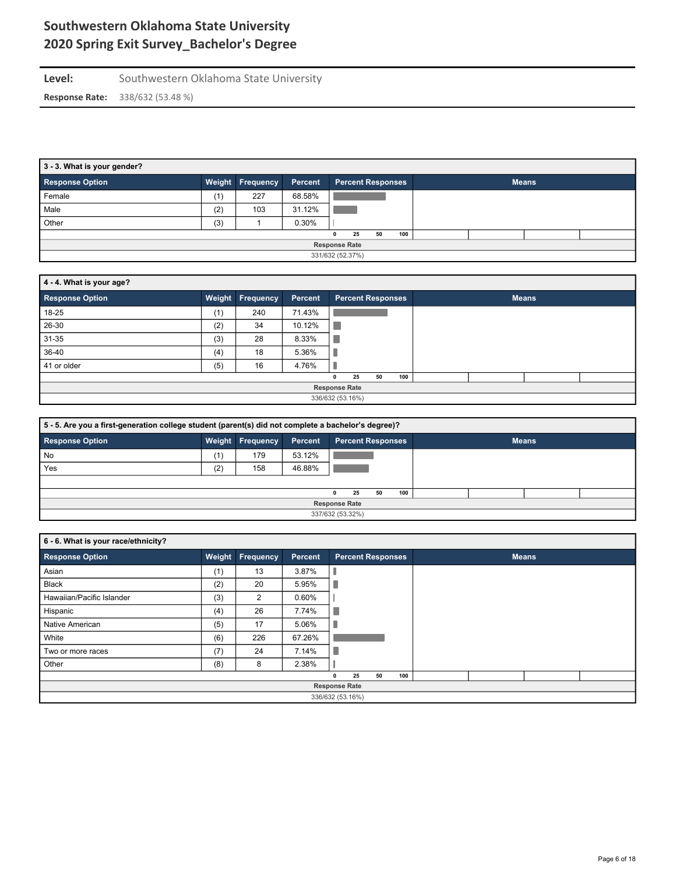| Level:                | Southwestern Oklahoma State University |
|-----------------------|----------------------------------------|
| <b>Response Rate:</b> | 338/632 (53.48 %)                      |

| 3 - 3. What is your gender? |     |                  |         |                          |    |     |              |  |  |  |  |  |
|-----------------------------|-----|------------------|---------|--------------------------|----|-----|--------------|--|--|--|--|--|
| <b>Response Option</b>      |     | Weight Frequency | Percent | <b>Percent Responses</b> |    |     | <b>Means</b> |  |  |  |  |  |
| Female                      | (1) | 227              | 68.58%  |                          |    |     |              |  |  |  |  |  |
| Male                        | (2) | 103              | 31.12%  |                          |    |     |              |  |  |  |  |  |
| Other                       | (3) |                  | 0.30%   |                          |    |     |              |  |  |  |  |  |
|                             |     |                  |         | 25<br>0                  | 50 | 100 |              |  |  |  |  |  |
| <b>Response Rate</b>        |     |                  |         |                          |    |     |              |  |  |  |  |  |
|                             |     |                  |         | 331/632 (52.37%)         |    |     |              |  |  |  |  |  |

| 4 - 4. What is your age? |     |                         |         |              |                          |    |     |              |  |  |  |  |  |
|--------------------------|-----|-------------------------|---------|--------------|--------------------------|----|-----|--------------|--|--|--|--|--|
| <b>Response Option</b>   |     | <b>Weight Frequency</b> | Percent |              | <b>Percent Responses</b> |    |     | <b>Means</b> |  |  |  |  |  |
| 18-25                    | (1) | 240                     | 71.43%  |              |                          |    |     |              |  |  |  |  |  |
| 26-30                    | (2) | 34                      | 10.12%  |              |                          |    |     |              |  |  |  |  |  |
| 31-35                    | (3) | 28                      | 8.33%   |              |                          |    |     |              |  |  |  |  |  |
| 36-40                    | (4) | 18                      | 5.36%   |              |                          |    |     |              |  |  |  |  |  |
| 41 or older              | (5) | 16                      | 4.76%   |              |                          |    |     |              |  |  |  |  |  |
|                          |     |                         |         | $\mathbf{0}$ | 25                       | 50 | 100 |              |  |  |  |  |  |
|                          |     |                         |         |              | <b>Response Rate</b>     |    |     |              |  |  |  |  |  |
|                          |     |                         |         |              | 336/632 (53.16%)         |    |     |              |  |  |  |  |  |

| 5 - 5. Are you a first-generation college student (parent(s) did not complete a bachelor's degree)? |                      |                         |         |                          |    |    |     |  |  |              |  |
|-----------------------------------------------------------------------------------------------------|----------------------|-------------------------|---------|--------------------------|----|----|-----|--|--|--------------|--|
| <b>Response Option</b>                                                                              |                      | <b>Weight Frequency</b> | Percent | <b>Percent Responses</b> |    |    |     |  |  | <b>Means</b> |  |
| No                                                                                                  | (1)                  | 179                     | 53.12%  |                          |    |    |     |  |  |              |  |
| Yes                                                                                                 | (2)                  | 158                     | 46.88%  |                          |    |    |     |  |  |              |  |
|                                                                                                     |                      |                         |         |                          |    |    |     |  |  |              |  |
|                                                                                                     |                      |                         |         | 0                        | 25 | 50 | 100 |  |  |              |  |
|                                                                                                     | <b>Response Rate</b> |                         |         |                          |    |    |     |  |  |              |  |
| 337/632 (53.32%)                                                                                    |                      |                         |         |                          |    |    |     |  |  |              |  |

| 6 - 6. What is your race/ethnicity? |        |                  |         |   |                          |    |     |  |              |  |
|-------------------------------------|--------|------------------|---------|---|--------------------------|----|-----|--|--------------|--|
| <b>Response Option</b>              | Weight | <b>Frequency</b> | Percent |   | <b>Percent Responses</b> |    |     |  | <b>Means</b> |  |
| Asian                               | (1)    | 13               | 3.87%   |   |                          |    |     |  |              |  |
| Black                               | (2)    | 20               | 5.95%   | ٠ |                          |    |     |  |              |  |
| Hawaiian/Pacific Islander           | (3)    | 2                | 0.60%   |   |                          |    |     |  |              |  |
| Hispanic                            | (4)    | 26               | 7.74%   | п |                          |    |     |  |              |  |
| Native American                     | (5)    | 17               | 5.06%   |   |                          |    |     |  |              |  |
| White                               | (6)    | 226              | 67.26%  |   |                          |    |     |  |              |  |
| Two or more races                   | (7)    | 24               | 7.14%   | ٠ |                          |    |     |  |              |  |
| Other                               | (8)    | 8                | 2.38%   |   |                          |    |     |  |              |  |
|                                     |        |                  |         | n | 25                       | 50 | 100 |  |              |  |
|                                     |        |                  |         |   | <b>Response Rate</b>     |    |     |  |              |  |
|                                     |        |                  |         |   | 336/632 (53.16%)         |    |     |  |              |  |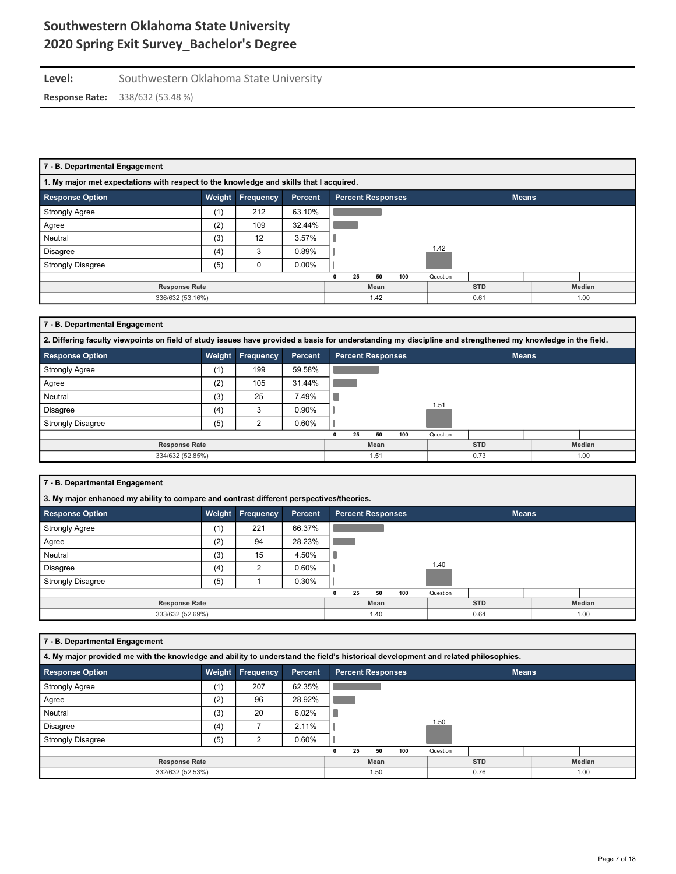## Level: Southwestern Oklahoma State University **Response Rate:** 338/632 (53.48 %)

| 7 - B. Departmental Engagement                                                         |        |                  |                |                                          |      |    |     |            |      |      |        |  |
|----------------------------------------------------------------------------------------|--------|------------------|----------------|------------------------------------------|------|----|-----|------------|------|------|--------|--|
| 1. My major met expectations with respect to the knowledge and skills that I acquired. |        |                  |                |                                          |      |    |     |            |      |      |        |  |
| <b>Response Option</b>                                                                 | Weight | <b>Frequency</b> | <b>Percent</b> | <b>Percent Responses</b><br><b>Means</b> |      |    |     |            |      |      |        |  |
| <b>Strongly Agree</b>                                                                  | (1)    | 212              | 63.10%         |                                          |      |    |     |            |      |      |        |  |
| Agree                                                                                  | (2)    | 109              | 32.44%         |                                          |      |    |     |            |      |      |        |  |
| Neutral                                                                                | (3)    | 12               | 3.57%          |                                          |      |    |     |            |      |      |        |  |
| Disagree                                                                               | (4)    | 3                | 0.89%          |                                          |      |    |     | 1.42       |      |      |        |  |
| <b>Strongly Disagree</b>                                                               | (5)    | 0                | $0.00\%$       |                                          |      |    |     |            |      |      |        |  |
|                                                                                        |        |                  |                |                                          | 25   | 50 | 100 | Question   |      |      |        |  |
| <b>Response Rate</b>                                                                   |        |                  |                |                                          | Mean |    |     | <b>STD</b> |      |      | Median |  |
| 336/632 (53.16%)                                                                       |        |                  |                | 1.42                                     |      |    |     |            | 0.61 | 1.00 |        |  |

### **7 - B. Departmental Engagement**

| 2. Differing faculty viewpoints on field of study issues have provided a basis for understanding my discipline and strengthened my knowledge in the field. |        |                  |                |                          |              |        |  |  |  |  |  |  |
|------------------------------------------------------------------------------------------------------------------------------------------------------------|--------|------------------|----------------|--------------------------|--------------|--------|--|--|--|--|--|--|
| <b>Response Option</b>                                                                                                                                     | Weight | <b>Frequency</b> | <b>Percent</b> | <b>Percent Responses</b> | <b>Means</b> |        |  |  |  |  |  |  |
| <b>Strongly Agree</b>                                                                                                                                      | (1)    | 199              | 59.58%         |                          |              |        |  |  |  |  |  |  |
| Agree                                                                                                                                                      | (2)    | 105              | 31.44%         |                          |              |        |  |  |  |  |  |  |
| Neutral                                                                                                                                                    | (3)    | 25               | 7.49%          |                          |              |        |  |  |  |  |  |  |
| Disagree                                                                                                                                                   | (4)    | 3                | 0.90%          |                          | 1.51         |        |  |  |  |  |  |  |
| <b>Strongly Disagree</b>                                                                                                                                   | (5)    | ◠                | 0.60%          |                          |              |        |  |  |  |  |  |  |
|                                                                                                                                                            |        |                  |                | 100<br>25<br>50          | Question     |        |  |  |  |  |  |  |
| <b>Response Rate</b>                                                                                                                                       |        |                  |                | Mean                     | <b>STD</b>   | Median |  |  |  |  |  |  |
| 334/632 (52.85%)                                                                                                                                           |        |                  |                | 1.51                     | 0.73         | 1.00   |  |  |  |  |  |  |

### **7 - B. Departmental Engagement**

|                          | 3. My major enhanced my ability to compare and contrast different perspectives/theories. |                  |         |      |    |                          |     |            |          |        |              |      |  |  |
|--------------------------|------------------------------------------------------------------------------------------|------------------|---------|------|----|--------------------------|-----|------------|----------|--------|--------------|------|--|--|
| <b>Response Option</b>   | Weight                                                                                   | <b>Frequency</b> | Percent |      |    | <b>Percent Responses</b> |     |            |          |        | <b>Means</b> |      |  |  |
| <b>Strongly Agree</b>    | (1)                                                                                      | 221              | 66.37%  |      |    |                          |     |            |          |        |              |      |  |  |
| Agree                    | (2)                                                                                      | 94               | 28.23%  |      |    |                          |     |            |          |        |              |      |  |  |
| Neutral                  | (3)                                                                                      | 15               | 4.50%   |      |    |                          |     |            |          |        |              |      |  |  |
| Disagree                 | (4)                                                                                      | $\sim$           | 0.60%   |      |    |                          |     |            | 1.40     |        |              |      |  |  |
| <b>Strongly Disagree</b> | (5)                                                                                      |                  | 0.30%   |      |    |                          |     |            |          |        |              |      |  |  |
|                          |                                                                                          |                  |         |      | 25 | 50                       | 100 |            | Question |        |              |      |  |  |
| <b>Response Rate</b>     |                                                                                          |                  |         | Mean |    |                          |     | <b>STD</b> |          | Median |              |      |  |  |
| 333/632 (52.69%)         |                                                                                          |                  |         |      |    | 1.40                     |     |            |          | 0.64   |              | 1.00 |  |  |

| 7 - B. Departmental Engagement                                                                                                    |        |           |         |  |    |                          |     |              |          |              |  |               |
|-----------------------------------------------------------------------------------------------------------------------------------|--------|-----------|---------|--|----|--------------------------|-----|--------------|----------|--------------|--|---------------|
| 4. My major provided me with the knowledge and ability to understand the field's historical development and related philosophies. |        |           |         |  |    |                          |     |              |          |              |  |               |
| <b>Response Option</b>                                                                                                            | Weight | Frequency | Percent |  |    | <b>Percent Responses</b> |     |              |          | <b>Means</b> |  |               |
| <b>Strongly Agree</b>                                                                                                             | (1)    | 207       | 62.35%  |  |    |                          |     |              |          |              |  |               |
| Agree                                                                                                                             | (2)    | 96        | 28.92%  |  |    |                          |     |              |          |              |  |               |
| Neutral                                                                                                                           | (3)    | 20        | 6.02%   |  |    |                          |     |              |          |              |  |               |
| <b>Disagree</b>                                                                                                                   | (4)    |           | 2.11%   |  |    |                          |     |              | 1.50     |              |  |               |
| <b>Strongly Disagree</b>                                                                                                          | (5)    | 2         | 0.60%   |  |    |                          |     |              |          |              |  |               |
|                                                                                                                                   |        |           |         |  | 25 | 50                       | 100 |              | Question |              |  |               |
| <b>Response Rate</b>                                                                                                              |        |           |         |  |    | Mean                     |     |              |          | <b>STD</b>   |  | <b>Median</b> |
| 332/632 (52.53%)                                                                                                                  |        |           |         |  |    | 1.50                     |     | 0.76<br>1.00 |          |              |  |               |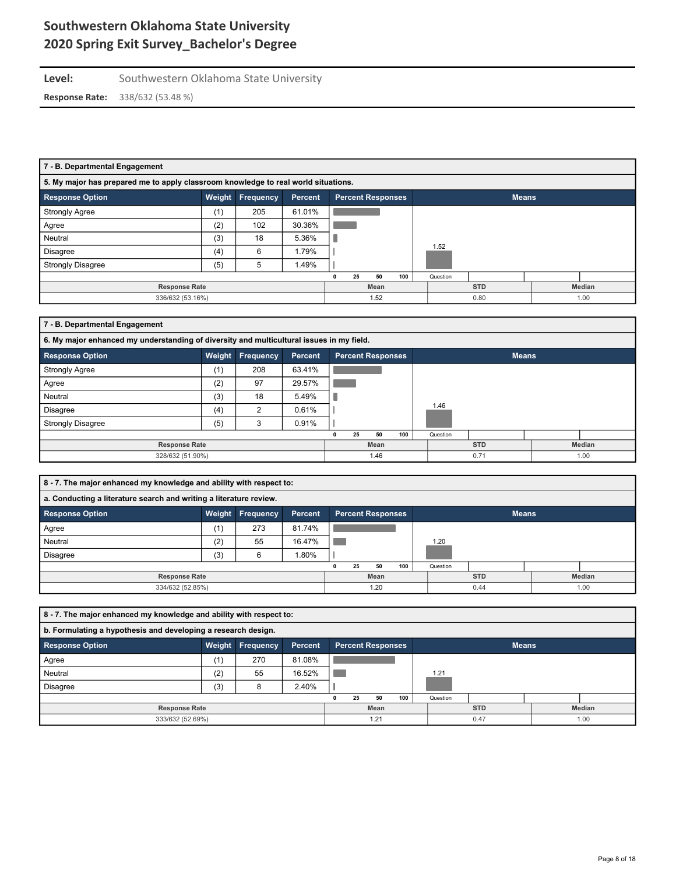### Level: Southwestern Oklahoma State University **Response Rate:** 338/632 (53.48 %)

| 7 - B. Departmental Engagement                                                     |        |                  |                |      |    |                          |     |          |              |  |        |  |
|------------------------------------------------------------------------------------|--------|------------------|----------------|------|----|--------------------------|-----|----------|--------------|--|--------|--|
| 5. My major has prepared me to apply classroom knowledge to real world situations. |        |                  |                |      |    |                          |     |          |              |  |        |  |
| <b>Response Option</b>                                                             | Weight | <b>Frequency</b> | <b>Percent</b> |      |    | <b>Percent Responses</b> |     |          | <b>Means</b> |  |        |  |
| <b>Strongly Agree</b>                                                              | (1)    | 205              | 61.01%         |      |    |                          |     |          |              |  |        |  |
| Agree                                                                              | (2)    | 102              | 30.36%         |      |    |                          |     |          |              |  |        |  |
| Neutral                                                                            | (3)    | 18               | 5.36%          |      |    |                          |     |          |              |  |        |  |
| <b>Disagree</b>                                                                    | (4)    | 6                | 1.79%          |      |    |                          |     | 1.52     |              |  |        |  |
| <b>Strongly Disagree</b>                                                           | (5)    | 5                | 1.49%          |      |    |                          |     |          |              |  |        |  |
|                                                                                    |        |                  |                |      | 25 | 50                       | 100 | Question |              |  |        |  |
| <b>Response Rate</b>                                                               |        |                  |                | Mean |    |                          |     |          | <b>STD</b>   |  | Median |  |
| 336/632 (53.16%)                                                                   |        | 1.52             |                |      |    | 0.80<br>1.00             |     |          |              |  |        |  |

## **7 - B. Departmental Engagement**

|                          | 6. My major enhanced my understanding of diversity and multicultural issues in my field. |                         |                |                          |            |          |              |  |  |  |  |  |  |  |
|--------------------------|------------------------------------------------------------------------------------------|-------------------------|----------------|--------------------------|------------|----------|--------------|--|--|--|--|--|--|--|
| <b>Response Option</b>   |                                                                                          | <b>Weight Frequency</b> | <b>Percent</b> | <b>Percent Responses</b> |            |          | <b>Means</b> |  |  |  |  |  |  |  |
| <b>Strongly Agree</b>    | (1)                                                                                      | 208                     | 63.41%         |                          |            |          |              |  |  |  |  |  |  |  |
| Agree                    | (2)                                                                                      | 97                      | 29.57%         |                          |            |          |              |  |  |  |  |  |  |  |
| Neutral                  | (3)                                                                                      | 18                      | 5.49%          |                          |            |          |              |  |  |  |  |  |  |  |
| <b>Disagree</b>          | (4)                                                                                      | 2                       | 0.61%          |                          |            | 1.46     |              |  |  |  |  |  |  |  |
| <b>Strongly Disagree</b> | (5)                                                                                      | 3                       | 0.91%          |                          |            |          |              |  |  |  |  |  |  |  |
|                          |                                                                                          |                         |                | 50<br>25                 | 100        | Question |              |  |  |  |  |  |  |  |
| <b>Response Rate</b>     |                                                                                          | Mean                    |                |                          | <b>STD</b> | Median   |              |  |  |  |  |  |  |  |
| 328/632 (51.90%)         |                                                                                          | 1.46                    |                |                          | 0.71       |          | 1.00         |  |  |  |  |  |  |  |

| 8 - 7. The major enhanced my knowledge and ability with respect to:                                         |     |     |         |      |    |      |     |            |          |        |  |      |
|-------------------------------------------------------------------------------------------------------------|-----|-----|---------|------|----|------|-----|------------|----------|--------|--|------|
| a. Conducting a literature search and writing a literature review.                                          |     |     |         |      |    |      |     |            |          |        |  |      |
| <b>Response Option</b><br><b>Frequency</b><br><b>Percent Responses</b><br><b>Means</b><br>Weight<br>Percent |     |     |         |      |    |      |     |            |          |        |  |      |
| Agree                                                                                                       | (1) | 273 | 81.74%  |      |    |      |     |            |          |        |  |      |
| Neutral                                                                                                     | (2) | 55  | 16.47%  |      |    |      |     |            | 1.20     |        |  |      |
| <b>Disagree</b>                                                                                             | (3) | 6   | $.80\%$ |      |    |      |     |            |          |        |  |      |
|                                                                                                             |     |     |         |      | 25 | 50   | 100 |            | Question |        |  |      |
| <b>Response Rate</b>                                                                                        |     |     |         | Mean |    |      |     | <b>STD</b> |          | Median |  |      |
| 334/632 (52.85%)                                                                                            |     |     |         |      |    | 1.20 |     |            |          | 0.44   |  | 1.00 |

| 8 - 7. The major enhanced my knowledge and ability with respect to: |                                                                                   |      |        |   |            |      |     |               |          |      |  |  |  |  |
|---------------------------------------------------------------------|-----------------------------------------------------------------------------------|------|--------|---|------------|------|-----|---------------|----------|------|--|--|--|--|
| b. Formulating a hypothesis and developing a research design.       |                                                                                   |      |        |   |            |      |     |               |          |      |  |  |  |  |
| <b>Response Option</b>                                              | Weight<br><b>Frequency</b><br><b>Means</b><br><b>Percent Responses</b><br>Percent |      |        |   |            |      |     |               |          |      |  |  |  |  |
| Agree                                                               | (1)                                                                               | 270  | 81.08% |   |            |      |     |               |          |      |  |  |  |  |
| Neutral                                                             | (2)                                                                               | 55   | 16.52% |   |            |      |     |               | 1.21     |      |  |  |  |  |
| <b>Disagree</b>                                                     | (3)                                                                               | 8    | 2.40%  |   |            |      |     |               |          |      |  |  |  |  |
|                                                                     |                                                                                   |      |        | 0 | 25         | 50   | 100 |               | Question |      |  |  |  |  |
| <b>Response Rate</b>                                                |                                                                                   | Mean |        |   | <b>STD</b> |      |     | <b>Median</b> |          |      |  |  |  |  |
| 333/632 (52.69%)                                                    |                                                                                   | 1.21 |        |   |            | 0.47 |     |               |          | 1.00 |  |  |  |  |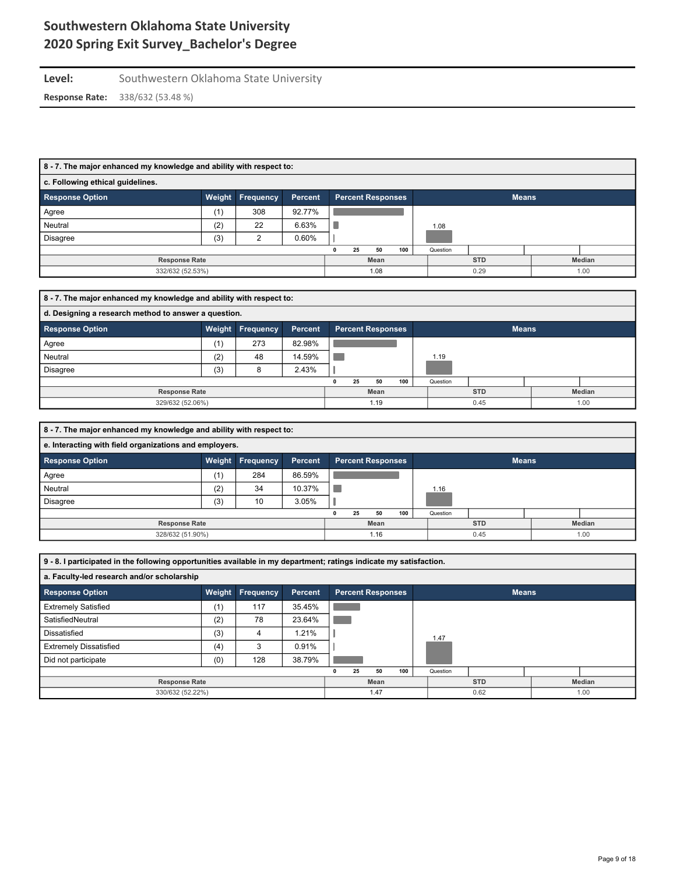## Level: Southwestern Oklahoma State University **Response Rate:** 338/632 (53.48 %)

#### **8 - 7. The major enhanced my knowledge and ability with respect to:**

| c. Following ethical guidelines. |         |     |        |                          |      |    |            |              |        |  |      |
|----------------------------------|---------|-----|--------|--------------------------|------|----|------------|--------------|--------|--|------|
| <b>Response Option</b>           | Percent |     |        | <b>Percent Responses</b> |      |    |            | <b>Means</b> |        |  |      |
| Agree                            | (1)     | 308 | 92.77% |                          |      |    |            |              |        |  |      |
| Neutral                          | (2)     | 22  | 6.63%  |                          |      |    |            | 1.08         |        |  |      |
| Disagree                         | (3)     |     | 0.60%  |                          |      |    |            |              |        |  |      |
|                                  |         |     |        |                          | 25   | 50 | 100        | Question     |        |  |      |
| <b>Response Rate</b>             |         |     |        | Mean                     |      |    | <b>STD</b> |              | Median |  |      |
| 332/632 (52.53%)                 |         |     |        |                          | 1.08 |    |            |              | 0.29   |  | 1.00 |

| 8 - 7. The major enhanced my knowledge and ability with respect to:                                         |     |     |        |      |    |      |            |          |        |  |      |  |  |
|-------------------------------------------------------------------------------------------------------------|-----|-----|--------|------|----|------|------------|----------|--------|--|------|--|--|
| d. Designing a research method to answer a question.                                                        |     |     |        |      |    |      |            |          |        |  |      |  |  |
| <b>Frequency</b><br><b>Response Option</b><br><b>Percent Responses</b><br><b>Means</b><br>Weight<br>Percent |     |     |        |      |    |      |            |          |        |  |      |  |  |
| Agree                                                                                                       | (1) | 273 | 82.98% |      |    |      |            |          |        |  |      |  |  |
| Neutral                                                                                                     | (2) | 48  | 14.59% |      |    |      |            | 1.19     |        |  |      |  |  |
| <b>Disagree</b>                                                                                             | (3) | 8   | 2.43%  |      |    |      |            |          |        |  |      |  |  |
|                                                                                                             |     |     |        |      | 25 | 50   | 100        | Question |        |  |      |  |  |
| <b>Response Rate</b>                                                                                        |     |     |        | Mean |    |      | <b>STD</b> |          | Median |  |      |  |  |
| 329/632 (52.06%)                                                                                            |     |     |        |      |    | 1.19 |            |          | 0.45   |  | 1.00 |  |  |

| 8 - 7. The major enhanced my knowledge and ability with respect to: |     |                  |         |      |    |                          |            |          |        |              |  |  |
|---------------------------------------------------------------------|-----|------------------|---------|------|----|--------------------------|------------|----------|--------|--------------|--|--|
| e. Interacting with field organizations and employers.              |     |                  |         |      |    |                          |            |          |        |              |  |  |
| <b>Response Option</b>                                              |     | Weight Frequency | Percent |      |    | <b>Percent Responses</b> |            |          |        | <b>Means</b> |  |  |
| Agree                                                               | (1) | 284              | 86.59%  |      |    |                          |            |          |        |              |  |  |
| Neutral                                                             | (2) | 34               | 10.37%  |      |    |                          |            | 1.16     |        |              |  |  |
| Disagree                                                            | (3) | 10               | 3.05%   |      |    |                          |            |          |        |              |  |  |
|                                                                     |     |                  |         |      | 25 | 50                       | 100        | Question |        |              |  |  |
| <b>Response Rate</b>                                                |     |                  |         | Mean |    |                          | <b>STD</b> |          | Median |              |  |  |
| 328/632 (51.90%)<br>0.45<br>1.16<br>1.00                            |     |                  |         |      |    |                          |            |          |        |              |  |  |

**9 - 8. I participated in the following opportunities available in my department; ratings indicate my satisfaction. a. Faculty-led research and/or scholarship Response Option Weight Frequency Percent Percent Responses Means** Extremely Satisfied (1) 117 35.45% **College**  $\mathcal{L}^{\text{max}}$ SatisfiedNeutral (2) 78 23.64% Dissatisfied (3) 4 1.21%  $\mathbb{L}$ 1.47 Extremely Dissatisfied (4) 4) 3 0.91%  $\mathbf{I}$ Did not participate  $(0)$  | 128 38.79% p.  **0 25 50 100** Question **Response Rate Mean STD Median** 330/632 (52.22%) 1.47 0.62 1.00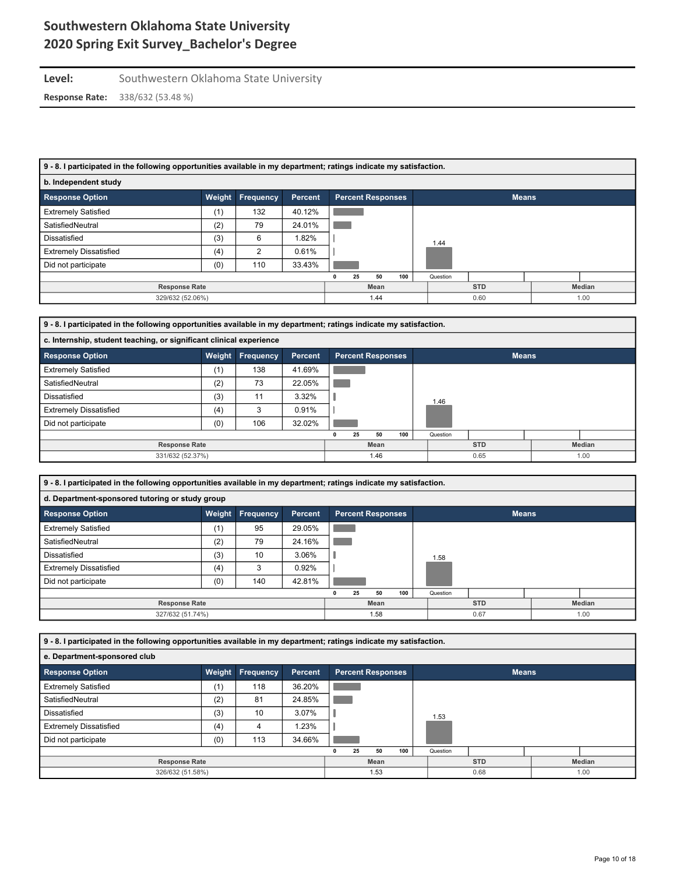### Level: Southwestern Oklahoma State University

| 9 - 8. I participated in the following opportunities available in my department; ratings indicate my satisfaction. |        |                  |                |      |              |                          |     |          |              |  |        |  |
|--------------------------------------------------------------------------------------------------------------------|--------|------------------|----------------|------|--------------|--------------------------|-----|----------|--------------|--|--------|--|
| b. Independent study                                                                                               |        |                  |                |      |              |                          |     |          |              |  |        |  |
| <b>Response Option</b>                                                                                             | Weight | <b>Frequency</b> | <b>Percent</b> |      |              | <b>Percent Responses</b> |     |          | <b>Means</b> |  |        |  |
| <b>Extremely Satisfied</b>                                                                                         | (1)    | 132              | 40.12%         |      |              |                          |     |          |              |  |        |  |
| SatisfiedNeutral                                                                                                   | (2)    | 79               | 24.01%         |      |              |                          |     |          |              |  |        |  |
| Dissatisfied                                                                                                       | (3)    | 6                | .82%           |      |              |                          |     | 1.44     |              |  |        |  |
| <b>Extremely Dissatisfied</b>                                                                                      | (4)    | 2                | 0.61%          |      |              |                          |     |          |              |  |        |  |
| Did not participate                                                                                                | (0)    | 110              | 33.43%         |      |              |                          |     |          |              |  |        |  |
|                                                                                                                    |        |                  |                |      | 25           | 50                       | 100 | Question |              |  |        |  |
| <b>Response Rate</b>                                                                                               |        |                  |                | Mean |              |                          |     |          | <b>STD</b>   |  | Median |  |
| 329/632 (52.06%)                                                                                                   |        | 1.44             |                |      | 0.60<br>1.00 |                          |     |          |              |  |        |  |

| 9 - 8. I participated in the following opportunities available in my department; ratings indicate my satisfaction. |                                                                     |           |                |  |    |                          |      |  |          |              |  |  |  |  |
|--------------------------------------------------------------------------------------------------------------------|---------------------------------------------------------------------|-----------|----------------|--|----|--------------------------|------|--|----------|--------------|--|--|--|--|
|                                                                                                                    | c. Internship, student teaching, or significant clinical experience |           |                |  |    |                          |      |  |          |              |  |  |  |  |
| <b>Response Option</b>                                                                                             | Weight                                                              | Frequency | <b>Percent</b> |  |    | <b>Percent Responses</b> |      |  |          | <b>Means</b> |  |  |  |  |
| <b>Extremely Satisfied</b>                                                                                         | (1)                                                                 | 138       | 41.69%         |  |    |                          |      |  |          |              |  |  |  |  |
| SatisfiedNeutral                                                                                                   | (2)                                                                 | 73        | 22.05%         |  |    |                          |      |  |          |              |  |  |  |  |
| Dissatisfied                                                                                                       | (3)                                                                 | 11        | 3.32%          |  |    |                          |      |  | 1.46     |              |  |  |  |  |
| <b>Extremely Dissatisfied</b>                                                                                      | (4)                                                                 | 3         | 0.91%          |  |    |                          |      |  |          |              |  |  |  |  |
| Did not participate                                                                                                | (0)                                                                 | 106       | 32.02%         |  |    |                          |      |  |          |              |  |  |  |  |
|                                                                                                                    |                                                                     |           |                |  | 25 | 50                       | 100  |  | Question |              |  |  |  |  |
| <b>Response Rate</b>                                                                                               |                                                                     | Mean      |                |  |    | <b>STD</b>               |      |  | Median   |              |  |  |  |  |
| 331/632 (52.37%)                                                                                                   |                                                                     | 1.46      |                |  |    |                          | 0.65 |  | 1.00     |              |  |  |  |  |

| 9 - 8. I participated in the following opportunities available in my department; ratings indicate my satisfaction. |        |                  |                |   |    |                          |     |          |              |  |        |  |  |
|--------------------------------------------------------------------------------------------------------------------|--------|------------------|----------------|---|----|--------------------------|-----|----------|--------------|--|--------|--|--|
| d. Department-sponsored tutoring or study group                                                                    |        |                  |                |   |    |                          |     |          |              |  |        |  |  |
| <b>Response Option</b>                                                                                             | Weight | <b>Frequency</b> | <b>Percent</b> |   |    | <b>Percent Responses</b> |     |          | <b>Means</b> |  |        |  |  |
| <b>Extremely Satisfied</b>                                                                                         | (1)    | 95               | 29.05%         |   |    |                          |     |          |              |  |        |  |  |
| SatisfiedNeutral                                                                                                   | (2)    | 79               | 24.16%         |   |    |                          |     |          |              |  |        |  |  |
| Dissatisfied                                                                                                       | (3)    | 10               | 3.06%          |   |    |                          |     | 1.58     |              |  |        |  |  |
| <b>Extremely Dissatisfied</b>                                                                                      | (4)    | 3                | 0.92%          |   |    |                          |     |          |              |  |        |  |  |
| Did not participate                                                                                                | (0)    | 140              | 42.81%         |   |    |                          |     |          |              |  |        |  |  |
|                                                                                                                    |        |                  |                | 0 | 25 | 50                       | 100 | Question |              |  |        |  |  |
| <b>Response Rate</b>                                                                                               |        |                  |                |   |    | Mean                     |     |          | <b>STD</b>   |  | Median |  |  |
| 327/632 (51.74%)                                                                                                   |        |                  |                |   |    | 1.58                     |     |          | 0.67         |  | 1.00   |  |  |

| 9 - 8. I participated in the following opportunities available in my department; ratings indicate my satisfaction. |        |                  |         |      |  |                          |  |            |      |              |  |  |
|--------------------------------------------------------------------------------------------------------------------|--------|------------------|---------|------|--|--------------------------|--|------------|------|--------------|--|--|
| e. Department-sponsored club                                                                                       |        |                  |         |      |  |                          |  |            |      |              |  |  |
| <b>Response Option</b>                                                                                             | Weight | <b>Frequency</b> | Percent |      |  | <b>Percent Responses</b> |  |            |      | <b>Means</b> |  |  |
| <b>Extremely Satisfied</b>                                                                                         | (1)    | 118              | 36.20%  |      |  |                          |  |            |      |              |  |  |
| SatisfiedNeutral                                                                                                   | (2)    | 81               | 24.85%  |      |  |                          |  |            |      |              |  |  |
| Dissatisfied                                                                                                       | (3)    | 10               | 3.07%   |      |  |                          |  |            | 1.53 |              |  |  |
| <b>Extremely Dissatisfied</b>                                                                                      | (4)    | 4                | 1.23%   |      |  |                          |  |            |      |              |  |  |
| Did not participate                                                                                                | (0)    | 113              | 34.66%  |      |  |                          |  |            |      |              |  |  |
| 100<br>25<br>50<br>Question                                                                                        |        |                  |         |      |  |                          |  |            |      |              |  |  |
| <b>Response Rate</b>                                                                                               |        |                  |         | Mean |  |                          |  | <b>STD</b> |      | Median       |  |  |
| 326/632 (51.58%)                                                                                                   |        |                  |         | 1.53 |  |                          |  | 0.68       |      | 1.00         |  |  |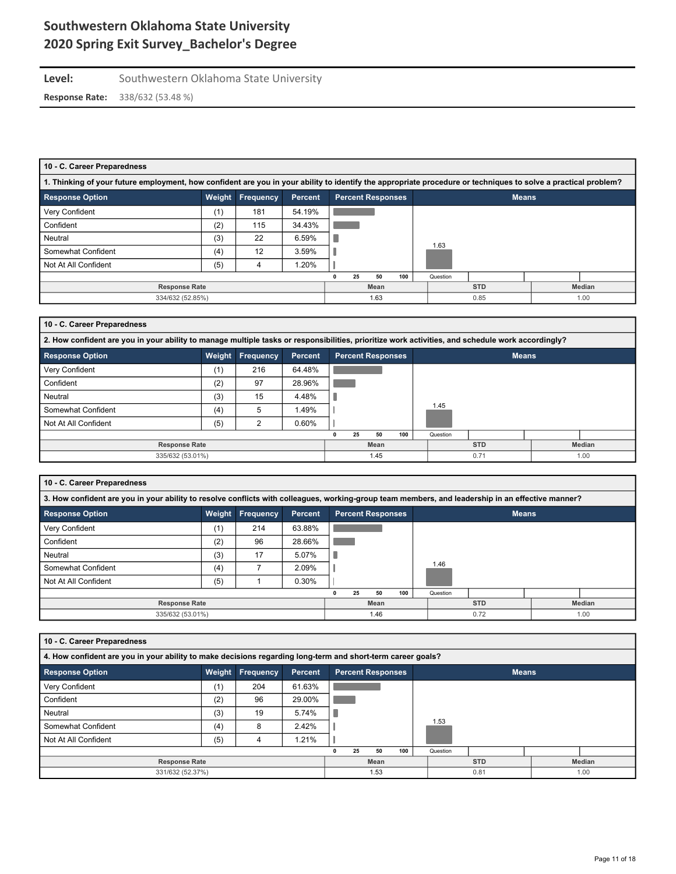# Level: Southwestern Oklahoma State University

**Response Rate:** 338/632 (53.48 %)

| 10 - C. Career Preparedness                                                                                                                                    |     |     |        |    |      |     |          |            |  |        |  |  |
|----------------------------------------------------------------------------------------------------------------------------------------------------------------|-----|-----|--------|----|------|-----|----------|------------|--|--------|--|--|
| 1. Thinking of your future employment, how confident are you in your ability to identify the appropriate procedure or techniques to solve a practical problem? |     |     |        |    |      |     |          |            |  |        |  |  |
| <b>Response Option</b><br><b>Frequency</b><br><b>Percent Responses</b><br>Weight<br><b>Percent</b><br><b>Means</b>                                             |     |     |        |    |      |     |          |            |  |        |  |  |
| Very Confident                                                                                                                                                 | (1) | 181 | 54.19% |    |      |     |          |            |  |        |  |  |
| Confident                                                                                                                                                      | (2) | 115 | 34.43% |    |      |     |          |            |  |        |  |  |
| Neutral                                                                                                                                                        | (3) | 22  | 6.59%  |    |      |     |          |            |  |        |  |  |
| Somewhat Confident                                                                                                                                             | (4) | 12  | 3.59%  |    |      |     | 1.63     |            |  |        |  |  |
| Not At All Confident                                                                                                                                           | (5) | 4   | 1.20%  |    |      |     |          |            |  |        |  |  |
|                                                                                                                                                                |     |     |        | 25 | 50   | 100 | Question |            |  |        |  |  |
| <b>Response Rate</b>                                                                                                                                           |     |     |        |    | Mean |     |          | <b>STD</b> |  | Median |  |  |
| 334/632 (52.85%)<br>1.63<br>0.85<br>1.00                                                                                                                       |     |     |        |    |      |     |          |            |  |        |  |  |

### **10 - C. Career Preparedness**

| 2. How confident are you in your ability to manage multiple tasks or responsibilities, prioritize work activities, and schedule work accordingly? |        |                  |         |      |      |                          |      |          |            |              |        |  |
|---------------------------------------------------------------------------------------------------------------------------------------------------|--------|------------------|---------|------|------|--------------------------|------|----------|------------|--------------|--------|--|
| <b>Response Option</b>                                                                                                                            | Weight | <b>Frequency</b> | Percent |      |      | <b>Percent Responses</b> |      |          |            | <b>Means</b> |        |  |
| Very Confident                                                                                                                                    | (1)    | 216              | 64.48%  |      |      |                          |      |          |            |              |        |  |
| Confident                                                                                                                                         | (2)    | 97               | 28.96%  |      |      |                          |      |          |            |              |        |  |
| Neutral                                                                                                                                           | (3)    | 15               | 4.48%   |      |      |                          |      |          |            |              |        |  |
| Somewhat Confident                                                                                                                                | (4)    | 5                | 1.49%   |      |      |                          |      | 1.45     |            |              |        |  |
| Not At All Confident                                                                                                                              | (5)    | ◠                | 0.60%   |      |      |                          |      |          |            |              |        |  |
|                                                                                                                                                   |        |                  |         |      | 25   | 50                       | 100  | Question |            |              |        |  |
| <b>Response Rate</b>                                                                                                                              |        |                  |         |      | Mean |                          |      |          | <b>STD</b> |              | Median |  |
| 335/632 (53.01%)                                                                                                                                  |        |                  |         | 1.45 |      |                          | 0.71 |          | 1.00       |              |        |  |

#### **10 - C. Career Preparedness**

| 3. How confident are you in your ability to resolve conflicts with colleagues, working-group team members, and leadership in an effective manner? |     |                  |         |  |    |                          |     |  |          |              |  |        |
|---------------------------------------------------------------------------------------------------------------------------------------------------|-----|------------------|---------|--|----|--------------------------|-----|--|----------|--------------|--|--------|
| <b>Response Option</b>                                                                                                                            |     | Weight Frequency | Percent |  |    | <b>Percent Responses</b> |     |  |          | <b>Means</b> |  |        |
| Very Confident                                                                                                                                    | (1) | 214              | 63.88%  |  |    |                          |     |  |          |              |  |        |
| Confident                                                                                                                                         | (2) | 96               | 28.66%  |  |    |                          |     |  |          |              |  |        |
| Neutral                                                                                                                                           | (3) | 17               | 5.07%   |  |    |                          |     |  |          |              |  |        |
| Somewhat Confident                                                                                                                                | (4) |                  | 2.09%   |  |    |                          |     |  | 1.46     |              |  |        |
| Not At All Confident                                                                                                                              | (5) |                  | 0.30%   |  |    |                          |     |  |          |              |  |        |
|                                                                                                                                                   |     |                  |         |  | 25 | 50                       | 100 |  | Question |              |  |        |
| <b>Response Rate</b>                                                                                                                              |     |                  |         |  |    | Mean                     |     |  |          | <b>STD</b>   |  | Median |
| 335/632 (53.01%)                                                                                                                                  |     |                  |         |  |    | 1.46                     |     |  |          | 0.72         |  | 1.00   |

| 10 - C. Career Preparedness                                                                                 |                      |                      |         |  |  |                          |  |            |      |              |        |  |  |
|-------------------------------------------------------------------------------------------------------------|----------------------|----------------------|---------|--|--|--------------------------|--|------------|------|--------------|--------|--|--|
| 4. How confident are you in your ability to make decisions regarding long-term and short-term career goals? |                      |                      |         |  |  |                          |  |            |      |              |        |  |  |
| <b>Response Option</b>                                                                                      | Weight               | Frequency            | Percent |  |  | <b>Percent Responses</b> |  |            |      | <b>Means</b> |        |  |  |
| Very Confident                                                                                              | (1)                  | 204                  | 61.63%  |  |  |                          |  |            |      |              |        |  |  |
| Confident                                                                                                   | (2)                  | 96                   | 29.00%  |  |  |                          |  |            |      |              |        |  |  |
| Neutral                                                                                                     | (3)                  | 19                   | 5.74%   |  |  |                          |  |            |      |              |        |  |  |
| Somewhat Confident                                                                                          | (4)                  | 8                    | 2.42%   |  |  |                          |  |            | 1.53 |              |        |  |  |
| Not At All Confident                                                                                        | (5)                  | 4                    | 1.21%   |  |  |                          |  |            |      |              |        |  |  |
| 100<br>25<br>Question<br>50                                                                                 |                      |                      |         |  |  |                          |  |            |      |              |        |  |  |
|                                                                                                             | <b>Response Rate</b> |                      |         |  |  |                          |  | <b>STD</b> |      |              | Median |  |  |
| 331/632 (52.37%)                                                                                            |                      | 1.53<br>0.81<br>1.00 |         |  |  |                          |  |            |      |              |        |  |  |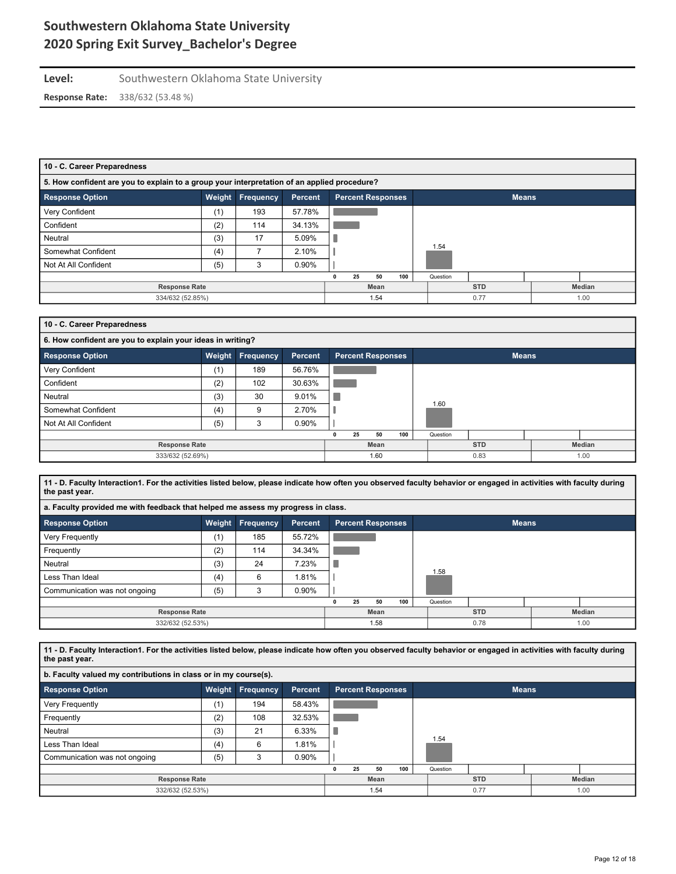### **Level:** Southwestern Oklahoma State University **Response Rate:** 338/632 (53.48 %)

| 10 - C. Career Preparedness                                                                 |        |           |                |  |    |                   |            |          |              |  |  |  |
|---------------------------------------------------------------------------------------------|--------|-----------|----------------|--|----|-------------------|------------|----------|--------------|--|--|--|
| 5. How confident are you to explain to a group your interpretation of an applied procedure? |        |           |                |  |    |                   |            |          |              |  |  |  |
| Response Option                                                                             | Weight | Frequency | <b>Percent</b> |  |    | Percent Responses |            |          | <b>Means</b> |  |  |  |
| Very Confident                                                                              | (1)    | 193       | 57.78%         |  |    |                   |            |          |              |  |  |  |
| Confident                                                                                   | (2)    | 114       | 34.13%         |  |    |                   |            |          |              |  |  |  |
| Neutral                                                                                     | (3)    | 17        | 5.09%          |  |    |                   |            |          |              |  |  |  |
| Somewhat Confident                                                                          | (4)    |           | 2.10%          |  |    |                   |            | 1.54     |              |  |  |  |
| Not At All Confident                                                                        | (5)    | 3         | 0.90%          |  |    |                   |            |          |              |  |  |  |
|                                                                                             |        |           |                |  | 25 | 50                | 100        | Question |              |  |  |  |
| <b>Response Rate</b>                                                                        |        | Mean      |                |  |    |                   | <b>STD</b> |          | Median       |  |  |  |
| 334/632 (52.85%)<br>0.77<br>1.54<br>1.00                                                    |        |           |                |  |    |                   |            |          |              |  |  |  |

| 10 - C. Career Preparedness                                |        |                      |                |      |    |                          |            |          |              |  |  |  |  |
|------------------------------------------------------------|--------|----------------------|----------------|------|----|--------------------------|------------|----------|--------------|--|--|--|--|
| 6. How confident are you to explain your ideas in writing? |        |                      |                |      |    |                          |            |          |              |  |  |  |  |
| <b>Response Option</b>                                     | Weight | Frequency            | <b>Percent</b> |      |    | <b>Percent Responses</b> |            |          | <b>Means</b> |  |  |  |  |
| Very Confident                                             | (1)    | 189                  | 56.76%         |      |    |                          |            |          |              |  |  |  |  |
| Confident                                                  | (2)    | 102                  | 30.63%         |      |    |                          |            |          |              |  |  |  |  |
| Neutral                                                    | (3)    | 30                   | 9.01%          |      |    |                          |            |          |              |  |  |  |  |
| Somewhat Confident                                         | (4)    | 9                    | 2.70%          |      |    |                          |            | 1.60     |              |  |  |  |  |
| Not At All Confident                                       | (5)    | 3                    | 0.90%          |      |    |                          |            |          |              |  |  |  |  |
|                                                            |        |                      |                |      | 25 | 50                       | 100        | Question |              |  |  |  |  |
| <b>Response Rate</b>                                       |        |                      |                | Mean |    |                          | <b>STD</b> |          | Median       |  |  |  |  |
| 333/632 (52.69%)                                           |        | 1.00<br>1.60<br>0.83 |                |      |    |                          |            |          |              |  |  |  |  |

**11 - D. Faculty Interaction1. For the activities listed below, please indicate how often you observed faculty behavior or engaged in activities with faculty during the past year.**

| a. Faculty provided me with feedback that helped me assess my progress in class. |     |                         |         |  |    |                          |     |  |          |      |              |      |  |
|----------------------------------------------------------------------------------|-----|-------------------------|---------|--|----|--------------------------|-----|--|----------|------|--------------|------|--|
| <b>Response Option</b>                                                           |     | <b>Weight Frequency</b> | Percent |  |    | <b>Percent Responses</b> |     |  |          |      | <b>Means</b> |      |  |
| Very Frequently                                                                  | (1) | 185                     | 55.72%  |  |    |                          |     |  |          |      |              |      |  |
| Frequently                                                                       | (2) | 114                     | 34.34%  |  |    |                          |     |  |          |      |              |      |  |
| Neutral                                                                          | (3) | 24                      | 7.23%   |  |    |                          |     |  |          |      |              |      |  |
| Less Than Ideal                                                                  | (4) | 6                       | 1.81%   |  |    |                          |     |  | 1.58     |      |              |      |  |
| Communication was not ongoing                                                    | (5) | 3                       | 0.90%   |  |    |                          |     |  |          |      |              |      |  |
|                                                                                  |     |                         |         |  | 25 | 50                       | 100 |  | Question |      |              |      |  |
| <b>Response Rate</b>                                                             |     | Mean                    |         |  |    | <b>STD</b>               |     |  | Median   |      |              |      |  |
| 332/632 (52.53%)                                                                 |     |                         |         |  |    | 1.58                     |     |  |          | 0.78 |              | 1.00 |  |

**11 - D. Faculty Interaction1. For the activities listed below, please indicate how often you observed faculty behavior or engaged in activities with faculty during the past year.**

| b. Faculty valued my contributions in class or in my course(s). |     |                         |         |  |      |                          |     |  |            |              |        |      |  |
|-----------------------------------------------------------------|-----|-------------------------|---------|--|------|--------------------------|-----|--|------------|--------------|--------|------|--|
| <b>Response Option</b>                                          |     | <b>Weight Frequency</b> | Percent |  |      | <b>Percent Responses</b> |     |  |            | <b>Means</b> |        |      |  |
| Very Frequently                                                 | (1) | 194                     | 58.43%  |  |      |                          |     |  |            |              |        |      |  |
| Frequently                                                      | (2) | 108                     | 32.53%  |  |      |                          |     |  |            |              |        |      |  |
| Neutral                                                         | (3) | 21                      | 6.33%   |  |      |                          |     |  |            |              |        |      |  |
| Less Than Ideal                                                 | (4) | 6                       | 1.81%   |  |      |                          |     |  | 1.54       |              |        |      |  |
| Communication was not ongoing                                   | (5) |                         | 0.90%   |  |      |                          |     |  |            |              |        |      |  |
|                                                                 |     |                         |         |  | 25   | 50                       | 100 |  | Question   |              |        |      |  |
| <b>Response Rate</b>                                            |     |                         |         |  | Mean |                          |     |  | <b>STD</b> |              | Median |      |  |
| 332/632 (52.53%)                                                |     |                         |         |  | 1.54 |                          |     |  |            | 0.77         |        | 1.00 |  |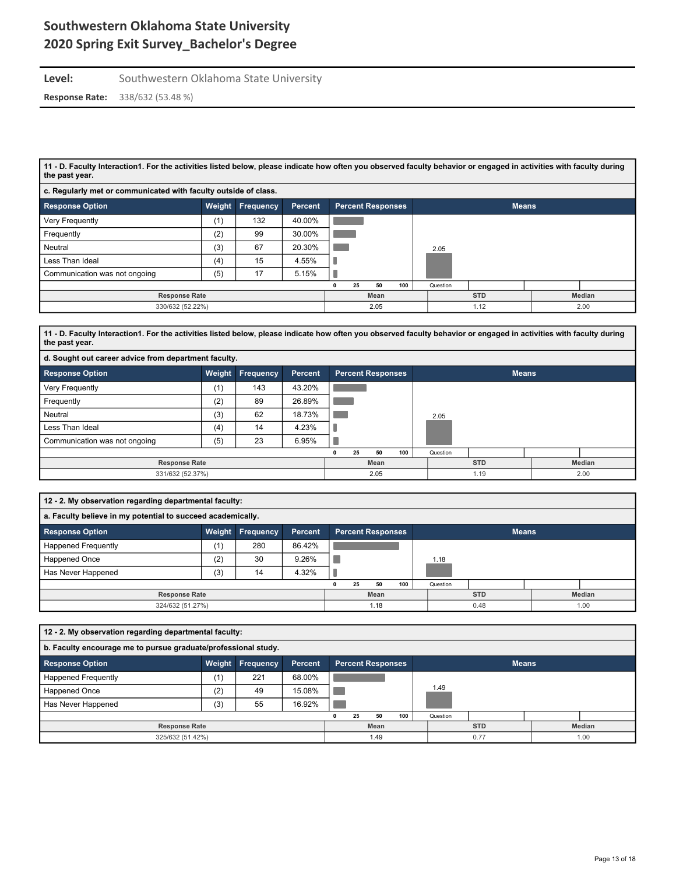### **Level:** Southwestern Oklahoma State University **Response Rate:** 338/632 (53.48 %)

**11 - D. Faculty Interaction1. For the activities listed below, please indicate how often you observed faculty behavior or engaged in activities with faculty during the past year.**

| c. Regularly met or communicated with faculty outside of class. |        |                  |                |  |                          |     |          |              |  |        |  |  |  |
|-----------------------------------------------------------------|--------|------------------|----------------|--|--------------------------|-----|----------|--------------|--|--------|--|--|--|
| <b>Response Option</b>                                          | Weight | <b>Frequency</b> | <b>Percent</b> |  | <b>Percent Responses</b> |     |          | <b>Means</b> |  |        |  |  |  |
| <b>Very Frequently</b>                                          | (1)    | 132              | 40.00%         |  |                          |     |          |              |  |        |  |  |  |
| Frequently                                                      | (2)    | 99               | 30.00%         |  |                          |     |          |              |  |        |  |  |  |
| Neutral                                                         | (3)    | 67               | 20.30%         |  |                          |     | 2.05     |              |  |        |  |  |  |
| Less Than Ideal                                                 | (4)    | 15               | 4.55%          |  |                          |     |          |              |  |        |  |  |  |
| Communication was not ongoing                                   | (5)    | 17               | 5.15%          |  |                          |     |          |              |  |        |  |  |  |
|                                                                 |        |                  |                |  | 25<br>50                 | 100 | Question |              |  |        |  |  |  |
| <b>Response Rate</b>                                            |        |                  |                |  | Mean                     |     |          | <b>STD</b>   |  | Median |  |  |  |
| 330/632 (52.22%)                                                |        |                  |                |  | 2.05                     |     |          | 1.12         |  | 2.00   |  |  |  |

**11 - D. Faculty Interaction1. For the activities listed below, please indicate how often you observed faculty behavior or engaged in activities with faculty during the past year.**

| d. Sought out career advice from department faculty. |        |           |         |                          |              |        |  |  |  |  |  |  |  |
|------------------------------------------------------|--------|-----------|---------|--------------------------|--------------|--------|--|--|--|--|--|--|--|
| <b>Response Option</b>                               | Weight | Frequency | Percent | <b>Percent Responses</b> | <b>Means</b> |        |  |  |  |  |  |  |  |
| Very Frequently                                      | (1)    | 143       | 43.20%  |                          |              |        |  |  |  |  |  |  |  |
| Frequently                                           | (2)    | 89        | 26.89%  |                          |              |        |  |  |  |  |  |  |  |
| Neutral                                              | (3)    | 62        | 18.73%  |                          | 2.05         |        |  |  |  |  |  |  |  |
| Less Than Ideal                                      | (4)    | 14        | 4.23%   |                          |              |        |  |  |  |  |  |  |  |
| Communication was not ongoing                        | (5)    | 23        | 6.95%   |                          |              |        |  |  |  |  |  |  |  |
|                                                      |        |           |         | 100<br>50<br>25          | Question     |        |  |  |  |  |  |  |  |
| <b>Response Rate</b>                                 |        |           |         | Mean                     | <b>STD</b>   | Median |  |  |  |  |  |  |  |
| 331/632 (52.37%)                                     |        |           |         | 2.05                     | 1.19         | 2.00   |  |  |  |  |  |  |  |

| 12 - 2. My observation regarding departmental faculty:      |     |                         |         |      |    |                          |            |          |              |  |  |
|-------------------------------------------------------------|-----|-------------------------|---------|------|----|--------------------------|------------|----------|--------------|--|--|
| a. Faculty believe in my potential to succeed academically. |     |                         |         |      |    |                          |            |          |              |  |  |
| <b>Response Option</b>                                      |     | <b>Weight Frequency</b> | Percent |      |    | <b>Percent Responses</b> |            |          | <b>Means</b> |  |  |
| <b>Happened Frequently</b>                                  | (1  | 280                     | 86.42%  |      |    |                          |            |          |              |  |  |
| Happened Once                                               | (2) | 30                      | 9.26%   |      |    |                          |            | 1.18     |              |  |  |
| Has Never Happened                                          | (3) | 14                      | 4.32%   |      |    |                          |            |          |              |  |  |
|                                                             |     |                         |         |      | 25 | 50                       | 100        | Question |              |  |  |
| <b>Response Rate</b>                                        |     |                         |         | Mean |    |                          | <b>STD</b> |          | Median       |  |  |
| 324/632 (51.27%)                                            |     |                         |         | 1.18 |    |                          | 0.48       |          | 1.00         |  |  |

| 12 - 2. My observation regarding departmental faculty:                                            |     |     |        |      |  |  |  |            |          |        |  |  |
|---------------------------------------------------------------------------------------------------|-----|-----|--------|------|--|--|--|------------|----------|--------|--|--|
| b. Faculty encourage me to pursue graduate/professional study.                                    |     |     |        |      |  |  |  |            |          |        |  |  |
| Weight Frequency<br><b>Response Option</b><br><b>Percent Responses</b><br>Percent<br><b>Means</b> |     |     |        |      |  |  |  |            |          |        |  |  |
| <b>Happened Frequently</b>                                                                        | (1) | 221 | 68.00% |      |  |  |  |            |          |        |  |  |
| Happened Once                                                                                     | (2) | 49  | 15.08% |      |  |  |  |            | 1.49     |        |  |  |
| Has Never Happened                                                                                | (3) | 55  | 16.92% |      |  |  |  |            |          |        |  |  |
|                                                                                                   |     |     |        |      |  |  |  |            | Question |        |  |  |
| <b>Response Rate</b>                                                                              |     |     |        | Mean |  |  |  | <b>STD</b> |          | Median |  |  |
| 325/632 (51.42%)                                                                                  |     |     |        | 1.49 |  |  |  | 0.77       |          | 1.00   |  |  |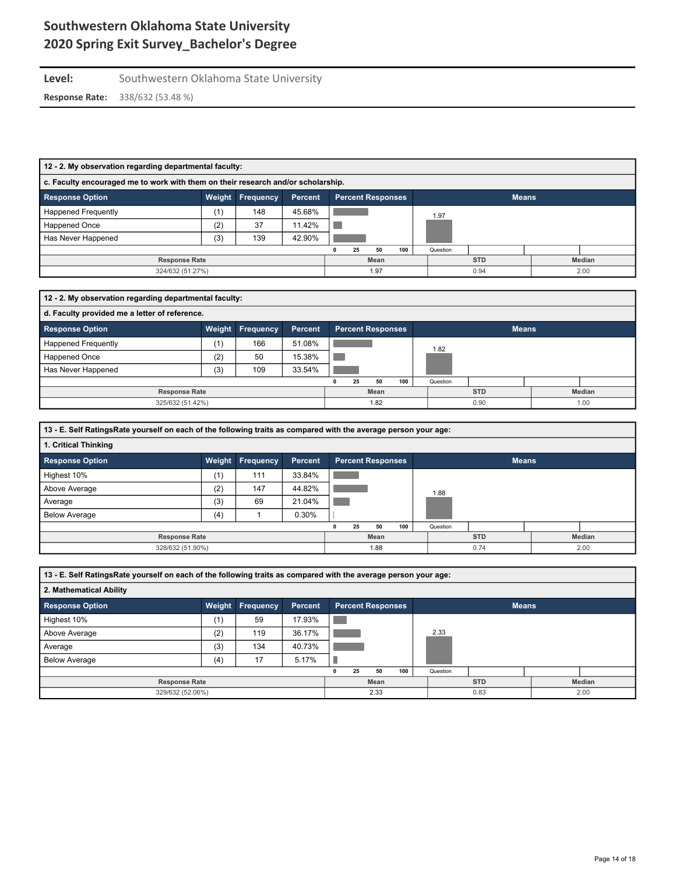# **Level:** Southwestern Oklahoma State University

| 12 - 2. My observation regarding departmental faculty:                                                      |                                                                                  |     |              |      |     |  |          |            |      |        |  |  |
|-------------------------------------------------------------------------------------------------------------|----------------------------------------------------------------------------------|-----|--------------|------|-----|--|----------|------------|------|--------|--|--|
|                                                                                                             | c. Faculty encouraged me to work with them on their research and/or scholarship. |     |              |      |     |  |          |            |      |        |  |  |
| <b>Response Option</b><br>Weight<br><b>Means</b><br>Frequency<br><b>Percent Responses</b><br><b>Percent</b> |                                                                                  |     |              |      |     |  |          |            |      |        |  |  |
| Happened Frequently                                                                                         | (1)                                                                              | 148 | 45.68%       |      |     |  |          |            | 1.97 |        |  |  |
| Happened Once                                                                                               | (2)                                                                              | 37  | 11.42%       |      |     |  |          |            |      |        |  |  |
| Has Never Happened                                                                                          | (3)                                                                              | 139 | 42.90%       |      |     |  |          |            |      |        |  |  |
|                                                                                                             |                                                                                  |     | 25           | 50   | 100 |  | Question |            |      |        |  |  |
| <b>Response Rate</b>                                                                                        |                                                                                  |     |              | Mean |     |  |          | <b>STD</b> |      | Median |  |  |
| 324/632 (51.27%)                                                                                            |                                                                                  |     | 1.97<br>0.94 |      |     |  |          |            | 2.00 |        |  |  |

| 12 - 2. My observation regarding departmental faculty:                                                      |     |     |        |      |    |    |            |          |        |  |  |  |
|-------------------------------------------------------------------------------------------------------------|-----|-----|--------|------|----|----|------------|----------|--------|--|--|--|
| d. Faculty provided me a letter of reference.                                                               |     |     |        |      |    |    |            |          |        |  |  |  |
| <b>Response Option</b><br>Weight<br><b>Frequency</b><br><b>Percent Responses</b><br><b>Means</b><br>Percent |     |     |        |      |    |    |            |          |        |  |  |  |
| <b>Happened Frequently</b>                                                                                  | (1) | 166 | 51.08% |      |    |    |            | 1.82     |        |  |  |  |
| Happened Once                                                                                               | (2) | 50  | 15.38% |      |    |    |            |          |        |  |  |  |
| Has Never Happened                                                                                          | (3) | 109 | 33.54% |      |    |    |            |          |        |  |  |  |
|                                                                                                             |     |     |        |      | 25 | 50 | 100        | Question |        |  |  |  |
| <b>Response Rate</b>                                                                                        |     |     |        | Mean |    |    | <b>STD</b> |          | Median |  |  |  |
| 325/632 (51.42%)                                                                                            |     |     |        | 1.82 |    |    | 0.90       |          | 1.00   |  |  |  |

| 13 - E. Self RatingsRate yourself on each of the following traits as compared with the average person your age: |     |                  |                |                          |              |        |  |  |  |
|-----------------------------------------------------------------------------------------------------------------|-----|------------------|----------------|--------------------------|--------------|--------|--|--|--|
| 1. Critical Thinking                                                                                            |     |                  |                |                          |              |        |  |  |  |
| <b>Response Option</b>                                                                                          |     | Weight Frequency | <b>Percent</b> | <b>Percent Responses</b> | <b>Means</b> |        |  |  |  |
| Highest 10%                                                                                                     | (1) | 111              | 33.84%         |                          |              |        |  |  |  |
| Above Average                                                                                                   | (2) | 147              | 44.82%         |                          | 1.88         |        |  |  |  |
| Average                                                                                                         | (3) | 69               | 21.04%         |                          |              |        |  |  |  |
| <b>Below Average</b>                                                                                            | (4) |                  | 0.30%          |                          |              |        |  |  |  |
|                                                                                                                 |     |                  |                | 100<br>25<br>50<br>0     | Question     |        |  |  |  |
| <b>Response Rate</b>                                                                                            |     |                  |                | Mean                     | <b>STD</b>   | Median |  |  |  |
| 328/632 (51.90%)                                                                                                |     |                  |                | 1.88                     | 0.74         | 2.00   |  |  |  |

| 13 - E. Self RatingsRate yourself on each of the following traits as compared with the average person your age: |     |                  |         |      |    |                          |     |            |          |              |  |  |
|-----------------------------------------------------------------------------------------------------------------|-----|------------------|---------|------|----|--------------------------|-----|------------|----------|--------------|--|--|
| 2. Mathematical Ability                                                                                         |     |                  |         |      |    |                          |     |            |          |              |  |  |
| <b>Response Option</b>                                                                                          |     | Weight Frequency | Percent |      |    | <b>Percent Responses</b> |     |            |          | <b>Means</b> |  |  |
| Highest 10%                                                                                                     | (1) | 59               | 17.93%  |      |    |                          |     |            |          |              |  |  |
| Above Average                                                                                                   | (2) | 119              | 36.17%  |      |    |                          |     |            | 2.33     |              |  |  |
| Average                                                                                                         | (3) | 134              | 40.73%  |      |    |                          |     |            |          |              |  |  |
| <b>Below Average</b>                                                                                            | (4) | 17               | 5.17%   |      |    |                          |     |            |          |              |  |  |
|                                                                                                                 |     |                  |         |      | 25 | 50                       | 100 |            | Question |              |  |  |
| <b>Response Rate</b>                                                                                            |     |                  |         | Mean |    |                          |     | <b>STD</b> |          | Median       |  |  |
| 329/632 (52.06%)                                                                                                |     |                  |         | 2.33 |    |                          |     | 0.83       |          | 2.00         |  |  |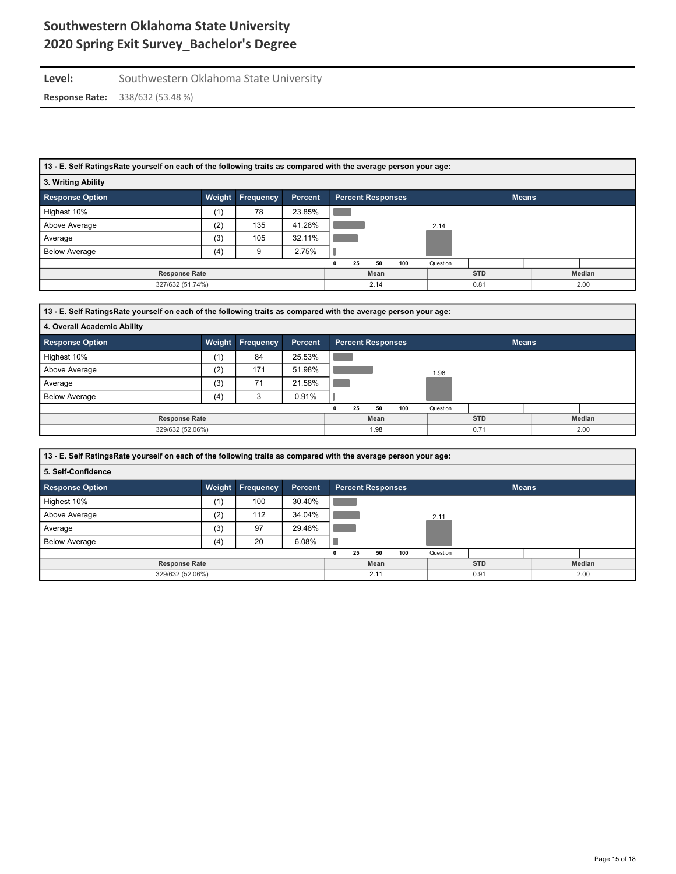# Level: Southwestern Oklahoma State University

| 13 - E. Self RatingsRate yourself on each of the following traits as compared with the average person your age: |        |           |                |                          |          |            |              |  |  |  |  |
|-----------------------------------------------------------------------------------------------------------------|--------|-----------|----------------|--------------------------|----------|------------|--------------|--|--|--|--|
| 3. Writing Ability                                                                                              |        |           |                |                          |          |            |              |  |  |  |  |
| <b>Response Option</b>                                                                                          | Weight | Frequency | <b>Percent</b> | <b>Percent Responses</b> |          |            | <b>Means</b> |  |  |  |  |
| Highest 10%                                                                                                     | (1)    | 78        | 23.85%         |                          |          |            |              |  |  |  |  |
| Above Average                                                                                                   | (2)    | 135       | 41.28%         |                          | 2.14     |            |              |  |  |  |  |
| Average                                                                                                         | (3)    | 105       | 32.11%         |                          |          |            |              |  |  |  |  |
| <b>Below Average</b>                                                                                            | (4)    | 9         | 2.75%          |                          |          |            |              |  |  |  |  |
|                                                                                                                 |        |           |                | 100<br>50<br>25          | Question |            |              |  |  |  |  |
| <b>Response Rate</b>                                                                                            |        |           |                | Mean                     |          | <b>STD</b> | Median       |  |  |  |  |
| 327/632 (51.74%)                                                                                                |        |           |                | 2.14                     |          | 0.81       | 2.00         |  |  |  |  |

| 13 - E. Self RatingsRate yourself on each of the following traits as compared with the average person your age: |        |                  |                |   |                          |     |            |          |              |  |
|-----------------------------------------------------------------------------------------------------------------|--------|------------------|----------------|---|--------------------------|-----|------------|----------|--------------|--|
| 4. Overall Academic Ability                                                                                     |        |                  |                |   |                          |     |            |          |              |  |
| <b>Response Option</b>                                                                                          | Weight | <b>Frequency</b> | <b>Percent</b> |   | <b>Percent Responses</b> |     |            |          | <b>Means</b> |  |
| Highest 10%                                                                                                     | (1)    | 84               | 25.53%         |   |                          |     |            |          |              |  |
| Above Average                                                                                                   | (2)    | 171              | 51.98%         |   |                          |     |            | 1.98     |              |  |
| Average                                                                                                         | (3)    | 71               | 21.58%         |   |                          |     |            |          |              |  |
| <b>Below Average</b>                                                                                            | (4)    | 3                | 0.91%          |   |                          |     |            |          |              |  |
|                                                                                                                 |        |                  |                | 0 | 50<br>25                 | 100 |            | Question |              |  |
| <b>Response Rate</b>                                                                                            |        |                  | Mean           |   |                          |     | <b>STD</b> | Median   |              |  |
| 329/632 (52.06%)                                                                                                |        |                  | 1.98           |   |                          |     | 0.71       | 2.00     |              |  |

| 13 - E. Self RatingsRate yourself on each of the following traits as compared with the average person your age: |        |                  |         |      |    |                          |      |          |            |              |        |
|-----------------------------------------------------------------------------------------------------------------|--------|------------------|---------|------|----|--------------------------|------|----------|------------|--------------|--------|
| 5. Self-Confidence                                                                                              |        |                  |         |      |    |                          |      |          |            |              |        |
| <b>Response Option</b>                                                                                          | Weight | <b>Frequency</b> | Percent |      |    | <b>Percent Responses</b> |      |          |            | <b>Means</b> |        |
| Highest 10%                                                                                                     | (1)    | 100              | 30.40%  |      |    |                          |      |          |            |              |        |
| Above Average                                                                                                   | (2)    | 112              | 34.04%  |      |    |                          |      | 2.11     |            |              |        |
| Average                                                                                                         | (3)    | 97               | 29.48%  |      |    |                          |      |          |            |              |        |
| <b>Below Average</b>                                                                                            | (4)    | 20               | 6.08%   |      |    |                          |      |          |            |              |        |
|                                                                                                                 |        |                  |         | n    | 25 | 50                       | 100  | Question |            |              |        |
| <b>Response Rate</b>                                                                                            |        |                  |         |      |    | Mean                     |      |          | <b>STD</b> |              | Median |
| 329/632 (52.06%)                                                                                                |        |                  |         | 2.11 |    |                          | 0.91 |          | 2.00       |              |        |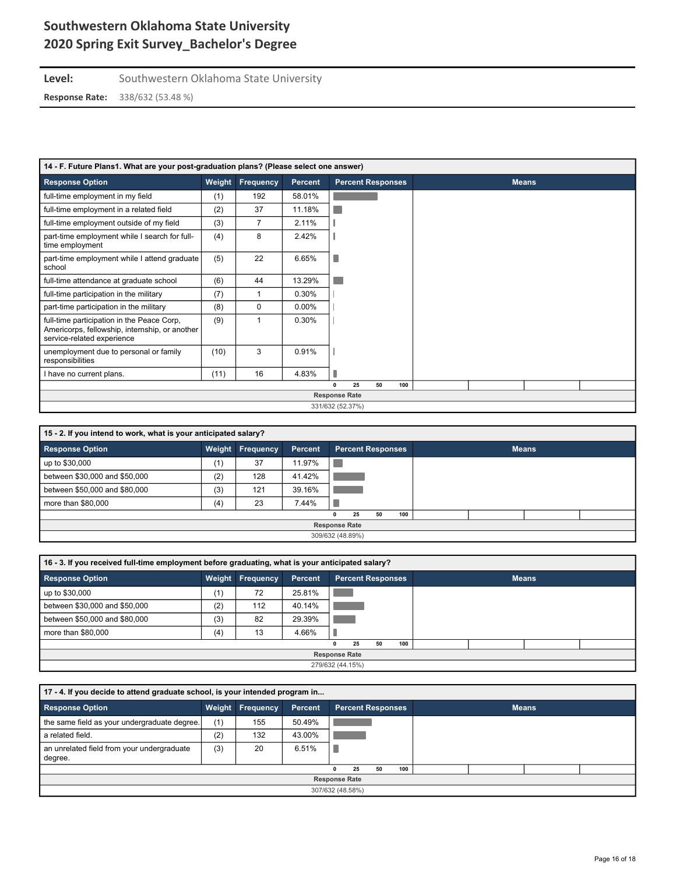**Level:** Southwestern Oklahoma State University

| 14 - F. Future Plans1. What are your post-graduation plans? (Please select one answer)                                     |                  |                |                |                      |                          |    |     |  |  |              |  |  |
|----------------------------------------------------------------------------------------------------------------------------|------------------|----------------|----------------|----------------------|--------------------------|----|-----|--|--|--------------|--|--|
| <b>Response Option</b>                                                                                                     | Weight           | Frequency      | <b>Percent</b> |                      | <b>Percent Responses</b> |    |     |  |  | <b>Means</b> |  |  |
| full-time employment in my field                                                                                           | (1)              | 192            | 58.01%         |                      |                          |    |     |  |  |              |  |  |
| full-time employment in a related field                                                                                    | (2)              | 37             | 11.18%         |                      |                          |    |     |  |  |              |  |  |
| full-time employment outside of my field                                                                                   | (3)              | $\overline{7}$ | 2.11%          |                      |                          |    |     |  |  |              |  |  |
| part-time employment while I search for full-<br>time employment                                                           | (4)              | 8              | 2.42%          |                      |                          |    |     |  |  |              |  |  |
| part-time employment while I attend graduate<br>school                                                                     | (5)              | 22             | 6.65%          |                      |                          |    |     |  |  |              |  |  |
| full-time attendance at graduate school                                                                                    | (6)              | 44             | 13.29%         |                      |                          |    |     |  |  |              |  |  |
| full-time participation in the military                                                                                    | (7)              |                | 0.30%          |                      |                          |    |     |  |  |              |  |  |
| part-time participation in the military                                                                                    | (8)              | 0              | $0.00\%$       |                      |                          |    |     |  |  |              |  |  |
| full-time participation in the Peace Corp,<br>Americorps, fellowship, internship, or another<br>service-related experience | (9)              |                | 0.30%          |                      |                          |    |     |  |  |              |  |  |
| unemployment due to personal or family<br>responsibilities                                                                 | (10)             | 3              | 0.91%          |                      |                          |    |     |  |  |              |  |  |
| I have no current plans.                                                                                                   | (11)             | 16             | 4.83%          |                      |                          |    |     |  |  |              |  |  |
|                                                                                                                            |                  |                |                | $\mathbf{0}$         | 25                       | 50 | 100 |  |  |              |  |  |
|                                                                                                                            |                  |                |                | <b>Response Rate</b> |                          |    |     |  |  |              |  |  |
|                                                                                                                            | 331/632 (52.37%) |                |                |                      |                          |    |     |  |  |              |  |  |

| 15 - 2. If you intend to work, what is your anticipated salary? |                  |                         |         |                                 |              |  |  |  |  |  |  |
|-----------------------------------------------------------------|------------------|-------------------------|---------|---------------------------------|--------------|--|--|--|--|--|--|
| <b>Response Option</b>                                          |                  | <b>Weight Frequency</b> | Percent | <b>Percent Responses</b>        | <b>Means</b> |  |  |  |  |  |  |
| up to \$30,000                                                  | (1)              | 37                      | 11.97%  |                                 |              |  |  |  |  |  |  |
| between \$30,000 and \$50,000                                   | (2)              | 128                     | 41.42%  |                                 |              |  |  |  |  |  |  |
| between \$50,000 and \$80,000                                   | (3)              | 121                     | 39.16%  |                                 |              |  |  |  |  |  |  |
| more than \$80,000                                              | (4)              | 23                      | 7.44%   |                                 |              |  |  |  |  |  |  |
|                                                                 |                  |                         |         | 100<br>50<br>25<br>$\mathbf{0}$ |              |  |  |  |  |  |  |
| <b>Response Rate</b>                                            |                  |                         |         |                                 |              |  |  |  |  |  |  |
|                                                                 | 309/632 (48.89%) |                         |         |                                 |              |  |  |  |  |  |  |

| 16 - 3. If you received full-time employment before graduating, what is your anticipated salary? |        |                  |         |                                 |              |  |  |  |  |  |  |
|--------------------------------------------------------------------------------------------------|--------|------------------|---------|---------------------------------|--------------|--|--|--|--|--|--|
| <b>Response Option</b>                                                                           | Weight | <b>Frequency</b> | Percent | <b>Percent Responses</b>        | <b>Means</b> |  |  |  |  |  |  |
| up to \$30,000                                                                                   | (1)    | 72               | 25.81%  |                                 |              |  |  |  |  |  |  |
| between \$30,000 and \$50,000                                                                    | (2)    | 112              | 40.14%  |                                 |              |  |  |  |  |  |  |
| between \$50,000 and \$80,000                                                                    | (3)    | 82               | 29.39%  |                                 |              |  |  |  |  |  |  |
| more than \$80,000                                                                               | (4)    | 13               | 4.66%   |                                 |              |  |  |  |  |  |  |
|                                                                                                  |        |                  |         | 100<br>25<br>50<br>$\mathbf{0}$ |              |  |  |  |  |  |  |
| <b>Response Rate</b>                                                                             |        |                  |         |                                 |              |  |  |  |  |  |  |
| 279/632 (44.15%)                                                                                 |        |                  |         |                                 |              |  |  |  |  |  |  |

| 17 - 4. If you decide to attend graduate school, is your intended program in |                  |                  |         |  |                          |    |     |  |  |              |  |  |  |
|------------------------------------------------------------------------------|------------------|------------------|---------|--|--------------------------|----|-----|--|--|--------------|--|--|--|
| <b>Response Option</b>                                                       |                  | Weight Frequency | Percent |  | <b>Percent Responses</b> |    |     |  |  | <b>Means</b> |  |  |  |
| the same field as your undergraduate degree.                                 | (1)              | 155              | 50.49%  |  |                          |    |     |  |  |              |  |  |  |
| a related field.                                                             | (2)              | 132              | 43.00%  |  |                          |    |     |  |  |              |  |  |  |
| an unrelated field from your undergraduate<br>degree.                        | (3)              | 20               | 6.51%   |  |                          |    |     |  |  |              |  |  |  |
|                                                                              |                  |                  |         |  | 25                       | 50 | 100 |  |  |              |  |  |  |
| <b>Response Rate</b>                                                         |                  |                  |         |  |                          |    |     |  |  |              |  |  |  |
|                                                                              | 307/632 (48.58%) |                  |         |  |                          |    |     |  |  |              |  |  |  |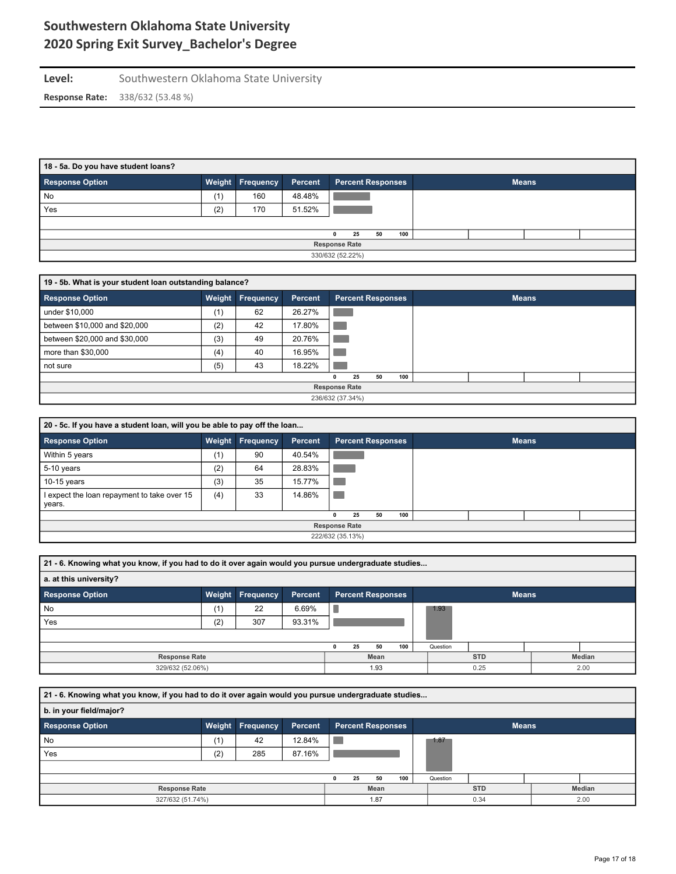### Level: Southwestern Oklahoma State University **Response Rate:** 338/632 (53.48 %)

| 18 - 5a. Do you have student loans? |     |                         |         |  |                          |    |     |  |  |              |  |  |
|-------------------------------------|-----|-------------------------|---------|--|--------------------------|----|-----|--|--|--------------|--|--|
| <b>Response Option</b>              |     | <b>Weight Frequency</b> | Percent |  | <b>Percent Responses</b> |    |     |  |  | <b>Means</b> |  |  |
| No                                  | (1) | 160                     | 48.48%  |  |                          |    |     |  |  |              |  |  |
| Yes                                 | (2) | 170                     | 51.52%  |  |                          |    |     |  |  |              |  |  |
|                                     |     |                         |         |  |                          |    |     |  |  |              |  |  |
|                                     |     |                         |         |  | 25                       | 50 | 100 |  |  |              |  |  |
| <b>Response Rate</b>                |     |                         |         |  |                          |    |     |  |  |              |  |  |
|                                     |     |                         |         |  | 330/632 (52.22%)         |    |     |  |  |              |  |  |

| 19 - 5b. What is your student loan outstanding balance? |                      |                  |                |  |                          |    |     |  |  |  |  |  |
|---------------------------------------------------------|----------------------|------------------|----------------|--|--------------------------|----|-----|--|--|--|--|--|
| <b>Response Option</b>                                  |                      | Weight Frequency | <b>Percent</b> |  | <b>Percent Responses</b> |    |     |  |  |  |  |  |
| under \$10,000                                          | (1)                  | 62               | 26.27%         |  |                          |    |     |  |  |  |  |  |
| between \$10,000 and \$20,000                           | (2)                  | 42               | 17.80%         |  |                          |    |     |  |  |  |  |  |
| between \$20,000 and \$30,000                           | (3)                  | 49               | 20.76%         |  |                          |    |     |  |  |  |  |  |
| more than \$30,000                                      | (4)                  | 40               | 16.95%         |  |                          |    |     |  |  |  |  |  |
| not sure                                                | (5)                  | 43               | 18.22%         |  |                          |    |     |  |  |  |  |  |
|                                                         |                      |                  |                |  | 25                       | 50 | 100 |  |  |  |  |  |
|                                                         | <b>Response Rate</b> |                  |                |  |                          |    |     |  |  |  |  |  |
|                                                         | 236/632 (37.34%)     |                  |                |  |                          |    |     |  |  |  |  |  |

| 20 - 5c. If you have a student loan, will you be able to pay off the loan |     |                         |         |                          |              |  |  |  |  |  |  |  |
|---------------------------------------------------------------------------|-----|-------------------------|---------|--------------------------|--------------|--|--|--|--|--|--|--|
| <b>Response Option</b>                                                    |     | <b>Weight Frequency</b> | Percent | <b>Percent Responses</b> | <b>Means</b> |  |  |  |  |  |  |  |
| Within 5 years                                                            | (1) | 90                      | 40.54%  |                          |              |  |  |  |  |  |  |  |
| 5-10 years                                                                | (2) | 64                      | 28.83%  |                          |              |  |  |  |  |  |  |  |
| $10-15$ years                                                             | (3) | 35                      | 15.77%  |                          |              |  |  |  |  |  |  |  |
| I expect the loan repayment to take over 15<br>years.                     | (4) | 33                      | 14.86%  |                          |              |  |  |  |  |  |  |  |
|                                                                           |     |                         |         | 100<br>50<br>25<br>0     |              |  |  |  |  |  |  |  |
|                                                                           |     |                         |         | <b>Response Rate</b>     |              |  |  |  |  |  |  |  |
|                                                                           |     |                         |         | 222/632 (35.13%)         |              |  |  |  |  |  |  |  |

| 21 - 6. Knowing what you know, if you had to do it over again would you pursue undergraduate studies |        |           |         |      |      |                          |     |  |              |  |  |        |  |
|------------------------------------------------------------------------------------------------------|--------|-----------|---------|------|------|--------------------------|-----|--|--------------|--|--|--------|--|
| a. at this university?                                                                               |        |           |         |      |      |                          |     |  |              |  |  |        |  |
| <b>Response Option</b>                                                                               | Weight | Frequency | Percent |      |      | <b>Percent Responses</b> |     |  | <b>Means</b> |  |  |        |  |
| No                                                                                                   | (1)    | 22        | 6.69%   |      |      |                          |     |  | 1.93         |  |  |        |  |
| Yes                                                                                                  | (2)    | 307       | 93.31%  |      |      |                          |     |  |              |  |  |        |  |
|                                                                                                      |        |           |         |      |      |                          |     |  |              |  |  |        |  |
|                                                                                                      |        |           |         | 0    | 25   | 50                       | 100 |  | Question     |  |  |        |  |
| <b>Response Rate</b>                                                                                 |        |           |         |      | Mean |                          |     |  | <b>STD</b>   |  |  | Median |  |
| 329/632 (52.06%)                                                                                     |        |           |         | 1.93 |      |                          |     |  | 0.25<br>2.00 |  |  |        |  |

**21 - 6. Knowing what you know, if you had to do it over again would you pursue undergraduate studies... b. in your field/major? Response Option Weight Frequency Percent Percent Responses Means**  $\overline{\phantom{a}}$ 1.87 No (1) 42 12.84% Yes (2) 285 87.16%  $\mathbb{R}^n$  **0 25 50 100** Question **Response Rate Mean STD Median** 327/632 (51.74%) 1.87 0.34 2.00